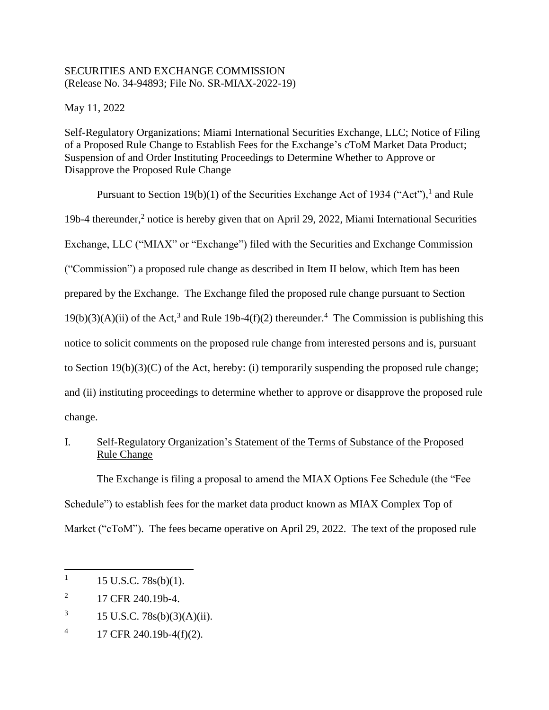## SECURITIES AND EXCHANGE COMMISSION (Release No. 34-94893; File No. SR-MIAX-2022-19)

May 11, 2022

Self-Regulatory Organizations; Miami International Securities Exchange, LLC; Notice of Filing of a Proposed Rule Change to Establish Fees for the Exchange's cToM Market Data Product; Suspension of and Order Instituting Proceedings to Determine Whether to Approve or Disapprove the Proposed Rule Change

Pursuant to Section 19(b)(1) of the Securities Exchange Act of 1934 ("Act"), and Rule 19b-4 thereunder,<sup>2</sup> notice is hereby given that on April 29, 2022, Miami International Securities Exchange, LLC ("MIAX" or "Exchange") filed with the Securities and Exchange Commission ("Commission") a proposed rule change as described in Item II below, which Item has been prepared by the Exchange. The Exchange filed the proposed rule change pursuant to Section  $19(b)(3)(A)(ii)$  of the Act,<sup>3</sup> and Rule 19b-4(f)(2) thereunder.<sup>4</sup> The Commission is publishing this notice to solicit comments on the proposed rule change from interested persons and is, pursuant to Section 19(b)(3)(C) of the Act, hereby: (i) temporarily suspending the proposed rule change; and (ii) instituting proceedings to determine whether to approve or disapprove the proposed rule change.

# I. Self-Regulatory Organization's Statement of the Terms of Substance of the Proposed Rule Change

The Exchange is filing a proposal to amend the MIAX Options Fee Schedule (the "Fee Schedule") to establish fees for the market data product known as MIAX Complex Top of Market ("cToM"). The fees became operative on April 29, 2022. The text of the proposed rule

 $\overline{a}$ 

<sup>1</sup> 15 U.S.C. 78s(b)(1).

<sup>2</sup> 17 CFR 240.19b-4.

<sup>3</sup> 15 U.S.C. 78s(b)(3)(A)(ii).

<sup>4</sup> 17 CFR 240.19b-4(f)(2).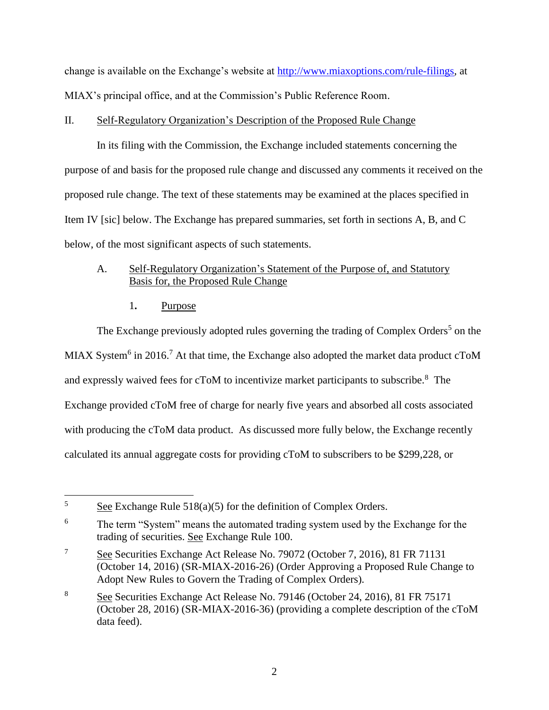change is available on the Exchange's website at [http://www.miaxoptions.com/rule-filings,](http://www.miaxoptions.com/rule-filings) at MIAX's principal office, and at the Commission's Public Reference Room.

## II. Self-Regulatory Organization's Description of the Proposed Rule Change

In its filing with the Commission, the Exchange included statements concerning the purpose of and basis for the proposed rule change and discussed any comments it received on the proposed rule change. The text of these statements may be examined at the places specified in Item IV [sic] below. The Exchange has prepared summaries, set forth in sections A, B, and C below, of the most significant aspects of such statements.

# A. Self-Regulatory Organization's Statement of the Purpose of, and Statutory Basis for, the Proposed Rule Change

<span id="page-1-0"></span>1**.** Purpose

 $\overline{a}$ 

The Exchange previously adopted rules governing the trading of Complex Orders<sup>5</sup> on the MIAX System<sup>6</sup> in 2016.<sup>7</sup> At that time, the Exchange also adopted the market data product cToM and expressly waived fees for cToM to incentivize market participants to subscribe. $8$  The Exchange provided cToM free of charge for nearly five years and absorbed all costs associated with producing the cToM data product. As discussed more fully below, the Exchange recently calculated its annual aggregate costs for providing cToM to subscribers to be \$299,228, or

 $5 \qquad \underline{\text{See}}$  Exchange Rule 518(a)(5) for the definition of Complex Orders.

<sup>&</sup>lt;sup>6</sup> The term "System" means the automated trading system used by the Exchange for the trading of securities. See Exchange Rule 100.

<sup>&</sup>lt;sup>7</sup> See Securities Exchange Act Release No. 79072 (October 7, 2016), 81 FR 71131 (October 14, 2016) (SR-MIAX-2016-26) (Order Approving a Proposed Rule Change to Adopt New Rules to Govern the Trading of Complex Orders).

<sup>8</sup> See Securities Exchange Act Release No. 79146 (October 24, 2016), 81 FR 75171 (October 28, 2016) (SR-MIAX-2016-36) (providing a complete description of the cToM data feed).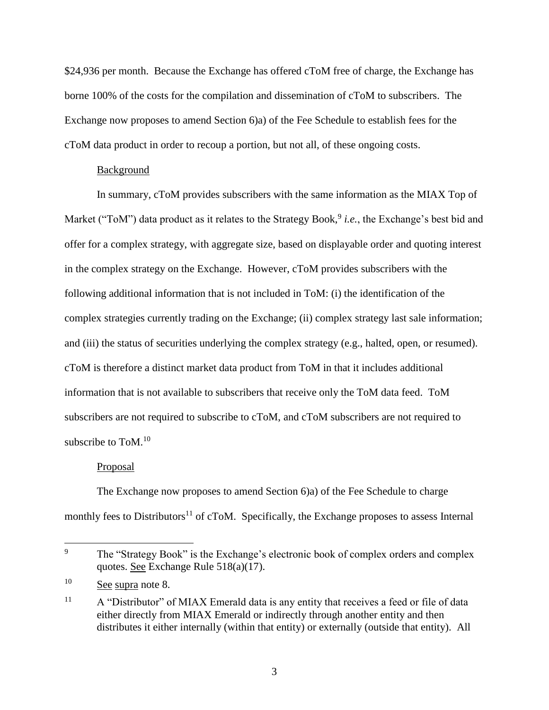\$24,936 per month. Because the Exchange has offered cToM free of charge, the Exchange has borne 100% of the costs for the compilation and dissemination of cToM to subscribers. The Exchange now proposes to amend Section 6)a) of the Fee Schedule to establish fees for the cToM data product in order to recoup a portion, but not all, of these ongoing costs.

#### Background

In summary, cToM provides subscribers with the same information as the MIAX Top of Market ("ToM") data product as it relates to the Strategy Book,<sup>9</sup> *i.e.*, the Exchange's best bid and offer for a complex strategy, with aggregate size, based on displayable order and quoting interest in the complex strategy on the Exchange. However, cToM provides subscribers with the following additional information that is not included in ToM: (i) the identification of the complex strategies currently trading on the Exchange; (ii) complex strategy last sale information; and (iii) the status of securities underlying the complex strategy (e.g., halted, open, or resumed). cToM is therefore a distinct market data product from ToM in that it includes additional information that is not available to subscribers that receive only the ToM data feed. ToM subscribers are not required to subscribe to cToM, and cToM subscribers are not required to subscribe to ToM.<sup>10</sup>

#### Proposal

The Exchange now proposes to amend Section 6)a) of the Fee Schedule to charge monthly fees to Distributors<sup>11</sup> of cToM. Specifically, the Exchange proposes to assess Internal

 $\overline{9}$ The "Strategy Book" is the Exchange's electronic book of complex orders and complex quotes. See Exchange Rule 518(a)(17).

<sup>&</sup>lt;sup>10</sup> See supra note [8.](#page-1-0)

<sup>&</sup>lt;sup>11</sup> A "Distributor" of MIAX Emerald data is any entity that receives a feed or file of data either directly from MIAX Emerald or indirectly through another entity and then distributes it either internally (within that entity) or externally (outside that entity). All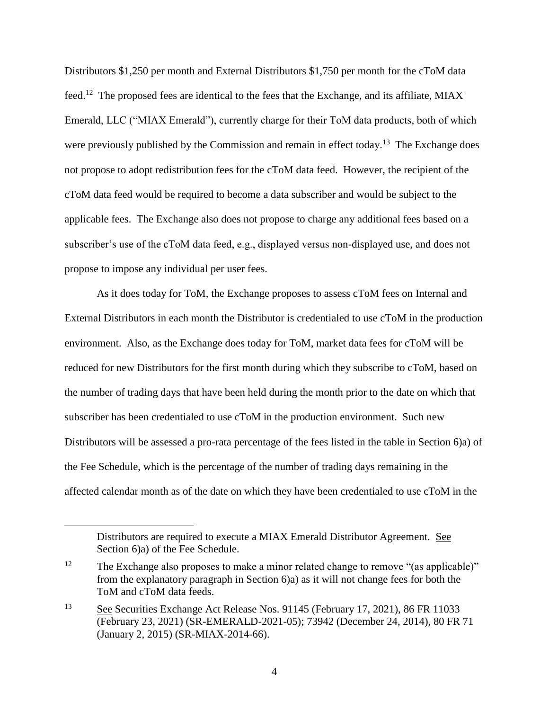<span id="page-3-0"></span>Distributors \$1,250 per month and External Distributors \$1,750 per month for the cToM data feed.<sup>12</sup> The proposed fees are identical to the fees that the Exchange, and its affiliate, MIAX Emerald, LLC ("MIAX Emerald"), currently charge for their ToM data products, both of which were previously published by the Commission and remain in effect today.<sup>13</sup> The Exchange does not propose to adopt redistribution fees for the cToM data feed. However, the recipient of the cToM data feed would be required to become a data subscriber and would be subject to the applicable fees. The Exchange also does not propose to charge any additional fees based on a subscriber's use of the cToM data feed, e.g., displayed versus non-displayed use, and does not propose to impose any individual per user fees.

As it does today for ToM, the Exchange proposes to assess cToM fees on Internal and External Distributors in each month the Distributor is credentialed to use cToM in the production environment. Also, as the Exchange does today for ToM, market data fees for cToM will be reduced for new Distributors for the first month during which they subscribe to cToM, based on the number of trading days that have been held during the month prior to the date on which that subscriber has been credentialed to use cToM in the production environment. Such new Distributors will be assessed a pro-rata percentage of the fees listed in the table in Section 6)a) of the Fee Schedule, which is the percentage of the number of trading days remaining in the affected calendar month as of the date on which they have been credentialed to use cToM in the

 $\overline{a}$ 

Distributors are required to execute a MIAX Emerald Distributor Agreement. See Section 6)a) of the Fee Schedule.

<sup>&</sup>lt;sup>12</sup> The Exchange also proposes to make a minor related change to remove "(as applicable)" from the explanatory paragraph in Section 6)a) as it will not change fees for both the ToM and cToM data feeds.

<sup>13</sup> See Securities Exchange Act Release Nos. 91145 (February 17, 2021), 86 FR 11033 (February 23, 2021) (SR-EMERALD-2021-05); 73942 (December 24, 2014), 80 FR 71 (January 2, 2015) (SR-MIAX-2014-66).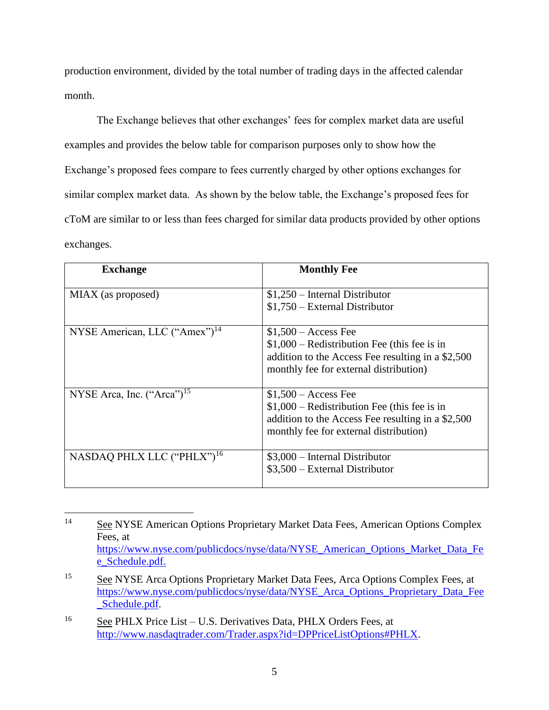production environment, divided by the total number of trading days in the affected calendar month.

The Exchange believes that other exchanges' fees for complex market data are useful examples and provides the below table for comparison purposes only to show how the Exchange's proposed fees compare to fees currently charged by other options exchanges for similar complex market data. As shown by the below table, the Exchange's proposed fees for cToM are similar to or less than fees charged for similar data products provided by other options exchanges.

<span id="page-4-0"></span>

| <b>Exchange</b>                           | <b>Monthly Fee</b>                                                                                                                                                    |
|-------------------------------------------|-----------------------------------------------------------------------------------------------------------------------------------------------------------------------|
| MIAX (as proposed)                        | $$1,250$ – Internal Distributor<br>$$1,750$ – External Distributor                                                                                                    |
| NYSE American, LLC ("Amex") <sup>14</sup> | $$1,500 - Access$ Fee<br>$$1,000$ – Redistribution Fee (this fee is in<br>addition to the Access Fee resulting in a \$2,500<br>monthly fee for external distribution) |
| NYSE Arca, Inc. $("Area")^{15}$           | $$1,500 - Access$ Fee<br>$$1,000$ – Redistribution Fee (this fee is in<br>addition to the Access Fee resulting in a \$2,500<br>monthly fee for external distribution) |
| NASDAQ PHLX LLC ("PHLX") <sup>16</sup>    | $$3,000$ – Internal Distributor<br>$$3,500$ – External Distributor                                                                                                    |

<span id="page-4-1"></span> $14$ See NYSE American Options Proprietary Market Data Fees, American Options Complex Fees, at [https://www.nyse.com/publicdocs/nyse/data/NYSE\\_American\\_Options\\_Market\\_Data\\_Fe](https://www.nyse.com/publicdocs/nyse/data/NYSE_American_Options_Market_Data_Fee_Schedule.pdf) [e\\_Schedule.pdf.](https://www.nyse.com/publicdocs/nyse/data/NYSE_American_Options_Market_Data_Fee_Schedule.pdf)

<sup>&</sup>lt;sup>15</sup> See NYSE Arca Options Proprietary Market Data Fees, Arca Options Complex Fees, at [https://www.nyse.com/publicdocs/nyse/data/NYSE\\_Arca\\_Options\\_Proprietary\\_Data\\_Fee](https://www.nyse.com/publicdocs/nyse/data/NYSE_Arca_Options_Proprietary_Data_Fee_Schedule.pdf) [\\_Schedule.pdf.](https://www.nyse.com/publicdocs/nyse/data/NYSE_Arca_Options_Proprietary_Data_Fee_Schedule.pdf)

<sup>16</sup> See PHLX Price List – U.S. Derivatives Data, PHLX Orders Fees, at [http://www.nasdaqtrader.com/Trader.aspx?id=DPPriceListOptions#PHLX.](http://www.nasdaqtrader.com/Trader.aspx?id=DPPriceListOptions#PHLX)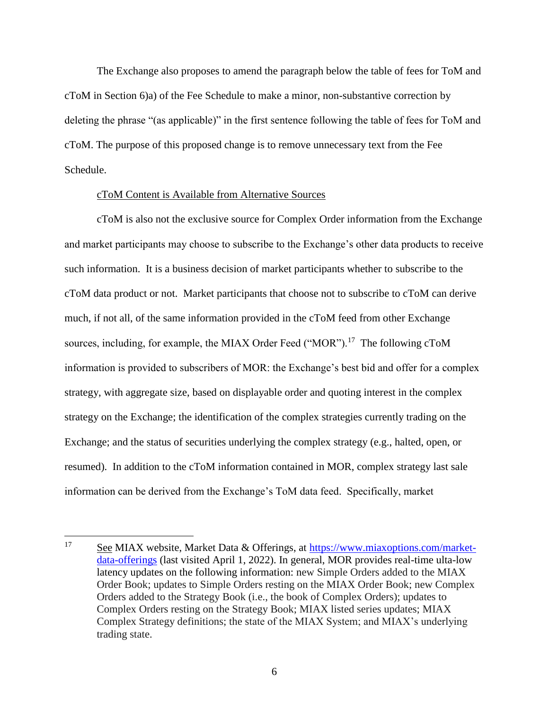The Exchange also proposes to amend the paragraph below the table of fees for ToM and cToM in Section 6)a) of the Fee Schedule to make a minor, non-substantive correction by deleting the phrase "(as applicable)" in the first sentence following the table of fees for ToM and cToM. The purpose of this proposed change is to remove unnecessary text from the Fee Schedule.

### cToM Content is Available from Alternative Sources

cToM is also not the exclusive source for Complex Order information from the Exchange and market participants may choose to subscribe to the Exchange's other data products to receive such information. It is a business decision of market participants whether to subscribe to the cToM data product or not. Market participants that choose not to subscribe to cToM can derive much, if not all, of the same information provided in the cToM feed from other Exchange sources, including, for example, the MIAX Order Feed ("MOR").<sup>17</sup> The following cToM information is provided to subscribers of MOR: the Exchange's best bid and offer for a complex strategy, with aggregate size, based on displayable order and quoting interest in the complex strategy on the Exchange; the identification of the complex strategies currently trading on the Exchange; and the status of securities underlying the complex strategy (e.g., halted, open, or resumed). In addition to the cToM information contained in MOR, complex strategy last sale information can be derived from the Exchange's ToM data feed. Specifically, market

<sup>17</sup> See MIAX website, Market Data & Offerings, at [https://www.miaxoptions.com/market](https://www.miaxoptions.com/market-data-offerings)[data-offerings](https://www.miaxoptions.com/market-data-offerings) (last visited April 1, 2022). In general, MOR provides real-time ulta-low latency updates on the following information: new Simple Orders added to the MIAX Order Book; updates to Simple Orders resting on the MIAX Order Book; new Complex Orders added to the Strategy Book (i.e., the book of Complex Orders); updates to Complex Orders resting on the Strategy Book; MIAX listed series updates; MIAX Complex Strategy definitions; the state of the MIAX System; and MIAX's underlying trading state.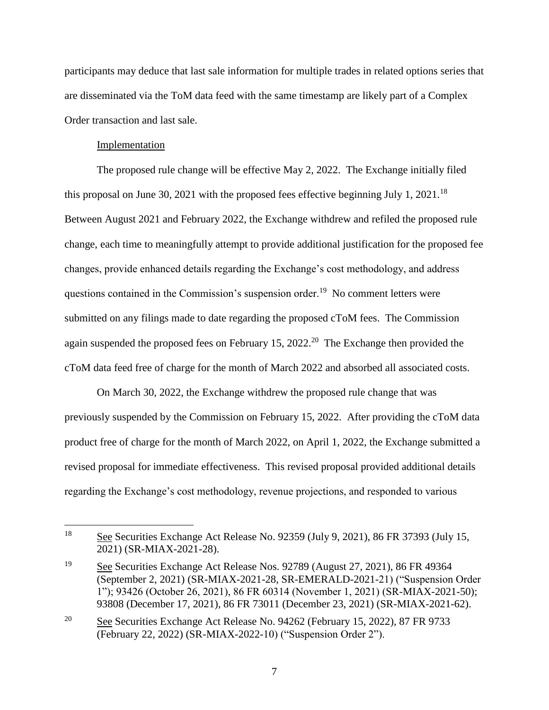participants may deduce that last sale information for multiple trades in related options series that are disseminated via the ToM data feed with the same timestamp are likely part of a Complex Order transaction and last sale.

## Implementation

 $\overline{a}$ 

The proposed rule change will be effective May 2, 2022. The Exchange initially filed this proposal on June 30, 2021 with the proposed fees effective beginning July 1, 2021.<sup>18</sup> Between August 2021 and February 2022, the Exchange withdrew and refiled the proposed rule change, each time to meaningfully attempt to provide additional justification for the proposed fee changes, provide enhanced details regarding the Exchange's cost methodology, and address questions contained in the Commission's suspension order.<sup>19</sup> No comment letters were submitted on any filings made to date regarding the proposed cToM fees. The Commission again suspended the proposed fees on February 15, 2022.<sup>20</sup> The Exchange then provided the cToM data feed free of charge for the month of March 2022 and absorbed all associated costs.

On March 30, 2022, the Exchange withdrew the proposed rule change that was previously suspended by the Commission on February 15, 2022. After providing the cToM data product free of charge for the month of March 2022, on April 1, 2022, the Exchange submitted a revised proposal for immediate effectiveness. This revised proposal provided additional details regarding the Exchange's cost methodology, revenue projections, and responded to various

<sup>18</sup> See Securities Exchange Act Release No. 92359 (July 9, 2021), 86 FR 37393 (July 15, 2021) (SR-MIAX-2021-28).

<sup>19</sup> See Securities Exchange Act Release Nos. 92789 (August 27, 2021), 86 FR 49364 (September 2, 2021) (SR-MIAX-2021-28, SR-EMERALD-2021-21) ("Suspension Order 1"); 93426 (October 26, 2021), 86 FR 60314 (November 1, 2021) (SR-MIAX-2021-50); 93808 (December 17, 2021), 86 FR 73011 (December 23, 2021) (SR-MIAX-2021-62).

<sup>20</sup> See Securities Exchange Act Release No. 94262 (February 15, 2022), 87 FR 9733 (February 22, 2022) (SR-MIAX-2022-10) ("Suspension Order 2").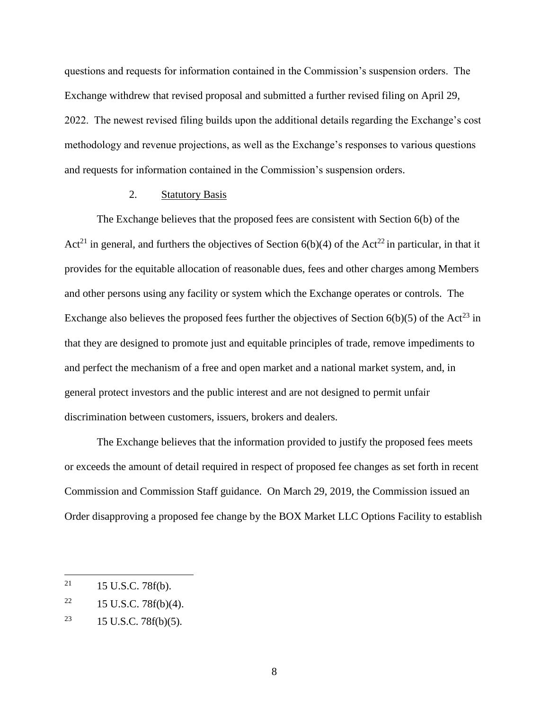questions and requests for information contained in the Commission's suspension orders. The Exchange withdrew that revised proposal and submitted a further revised filing on April 29, 2022. The newest revised filing builds upon the additional details regarding the Exchange's cost methodology and revenue projections, as well as the Exchange's responses to various questions and requests for information contained in the Commission's suspension orders.

## 2. Statutory Basis

The Exchange believes that the proposed fees are consistent with Section 6(b) of the Act<sup>21</sup> in general, and furthers the objectives of Section  $6(b)(4)$  of the Act<sup>22</sup> in particular, in that it provides for the equitable allocation of reasonable dues, fees and other charges among Members and other persons using any facility or system which the Exchange operates or controls. The Exchange also believes the proposed fees further the objectives of Section  $6(b)(5)$  of the Act<sup>23</sup> in that they are designed to promote just and equitable principles of trade, remove impediments to and perfect the mechanism of a free and open market and a national market system, and, in general protect investors and the public interest and are not designed to permit unfair discrimination between customers, issuers, brokers and dealers.

The Exchange believes that the information provided to justify the proposed fees meets or exceeds the amount of detail required in respect of proposed fee changes as set forth in recent Commission and Commission Staff guidance. On March 29, 2019, the Commission issued an Order disapproving a proposed fee change by the BOX Market LLC Options Facility to establish

<sup>21</sup> 15 U.S.C. 78f(b).

<sup>&</sup>lt;sup>22</sup> 15 U.S.C. 78 $f(b)(4)$ .

<sup>&</sup>lt;sup>23</sup> 15 U.S.C. 78 $f(b)(5)$ .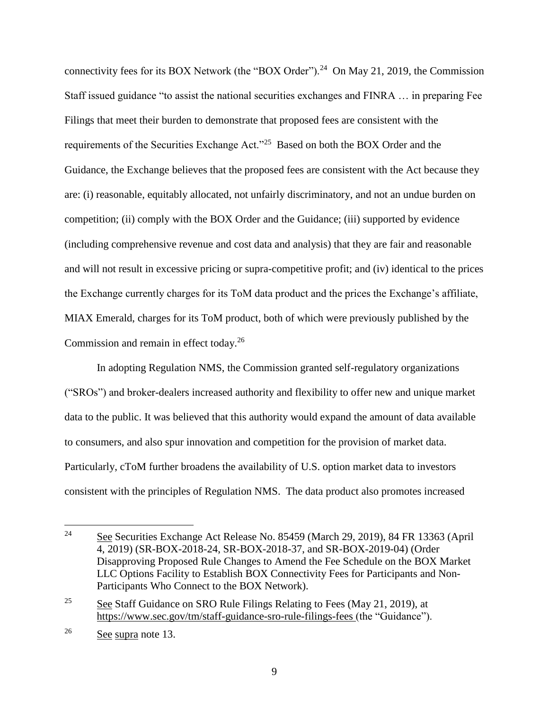<span id="page-8-0"></span>connectivity fees for its BOX Network (the "BOX Order").<sup>24</sup> On May 21, 2019, the Commission Staff issued guidance "to assist the national securities exchanges and FINRA … in preparing Fee Filings that meet their burden to demonstrate that proposed fees are consistent with the requirements of the Securities Exchange Act."<sup>25</sup> Based on both the BOX Order and the Guidance, the Exchange believes that the proposed fees are consistent with the Act because they are: (i) reasonable, equitably allocated, not unfairly discriminatory, and not an undue burden on competition; (ii) comply with the BOX Order and the Guidance; (iii) supported by evidence (including comprehensive revenue and cost data and analysis) that they are fair and reasonable and will not result in excessive pricing or supra-competitive profit; and (iv) identical to the prices the Exchange currently charges for its ToM data product and the prices the Exchange's affiliate, MIAX Emerald, charges for its ToM product, both of which were previously published by the Commission and remain in effect today.<sup>26</sup>

In adopting Regulation NMS, the Commission granted self-regulatory organizations ("SROs") and broker-dealers increased authority and flexibility to offer new and unique market data to the public. It was believed that this authority would expand the amount of data available to consumers, and also spur innovation and competition for the provision of market data. Particularly, cToM further broadens the availability of U.S. option market data to investors consistent with the principles of Regulation NMS. The data product also promotes increased

<sup>24</sup> <sup>24</sup> See Securities Exchange Act Release No. 85459 (March 29, 2019), 84 FR 13363 (April 4, 2019) (SR-BOX-2018-24, SR-BOX-2018-37, and SR-BOX-2019-04) (Order Disapproving Proposed Rule Changes to Amend the Fee Schedule on the BOX Market LLC Options Facility to Establish BOX Connectivity Fees for Participants and Non-Participants Who Connect to the BOX Network).

<sup>&</sup>lt;sup>25</sup> See Staff Guidance on SRO Rule Filings Relating to Fees (May 21, 2019), at <https://www.sec.gov/tm/staff-guidance-sro-rule-filings-fees> (the "Guidance").

<sup>26</sup> See supra note [13.](#page-3-0)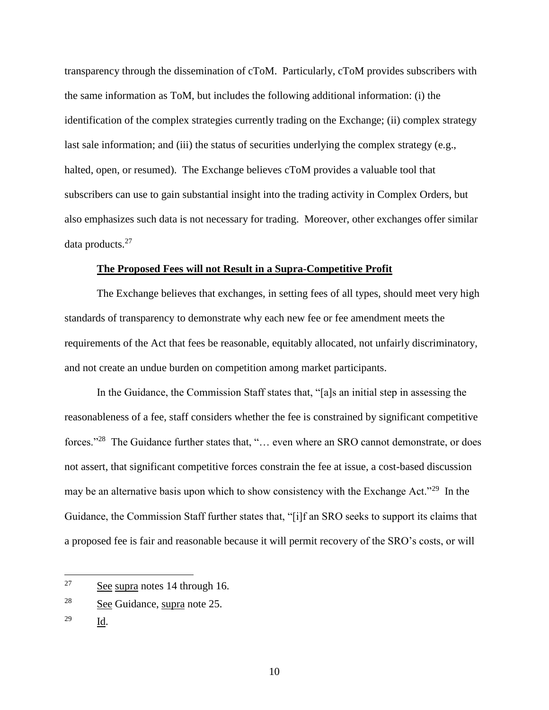transparency through the dissemination of cToM. Particularly, cToM provides subscribers with the same information as ToM, but includes the following additional information: (i) the identification of the complex strategies currently trading on the Exchange; (ii) complex strategy last sale information; and (iii) the status of securities underlying the complex strategy (e.g., halted, open, or resumed). The Exchange believes cToM provides a valuable tool that subscribers can use to gain substantial insight into the trading activity in Complex Orders, but also emphasizes such data is not necessary for trading. Moreover, other exchanges offer similar data products.<sup>27</sup>

### **The Proposed Fees will not Result in a Supra-Competitive Profit**

The Exchange believes that exchanges, in setting fees of all types, should meet very high standards of transparency to demonstrate why each new fee or fee amendment meets the requirements of the Act that fees be reasonable, equitably allocated, not unfairly discriminatory, and not create an undue burden on competition among market participants.

In the Guidance, the Commission Staff states that, "[a]s an initial step in assessing the reasonableness of a fee, staff considers whether the fee is constrained by significant competitive forces."<sup>28</sup> The Guidance further states that, "... even where an SRO cannot demonstrate, or does not assert, that significant competitive forces constrain the fee at issue, a cost-based discussion may be an alternative basis upon which to show consistency with the Exchange Act."<sup>29</sup> In the Guidance, the Commission Staff further states that, "[i]f an SRO seeks to support its claims that a proposed fee is fair and reasonable because it will permit recovery of the SRO's costs, or will

 $\overline{a}$ 

<sup>27</sup> See supra notes [14](#page-4-0) through [16.](#page-4-1)

<sup>28</sup> See Guidance, supra note [25.](#page-8-0)

<sup>29</sup> Id.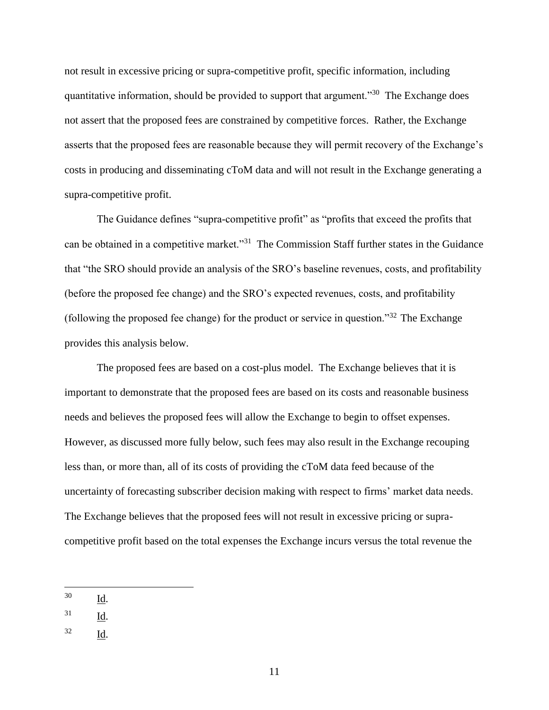not result in excessive pricing or supra-competitive profit, specific information, including quantitative information, should be provided to support that argument."<sup>30</sup> The Exchange does not assert that the proposed fees are constrained by competitive forces. Rather, the Exchange asserts that the proposed fees are reasonable because they will permit recovery of the Exchange's costs in producing and disseminating cToM data and will not result in the Exchange generating a supra-competitive profit.

The Guidance defines "supra-competitive profit" as "profits that exceed the profits that can be obtained in a competitive market."<sup>31</sup> The Commission Staff further states in the Guidance that "the SRO should provide an analysis of the SRO's baseline revenues, costs, and profitability (before the proposed fee change) and the SRO's expected revenues, costs, and profitability (following the proposed fee change) for the product or service in question." $32$  The Exchange provides this analysis below.

The proposed fees are based on a cost-plus model. The Exchange believes that it is important to demonstrate that the proposed fees are based on its costs and reasonable business needs and believes the proposed fees will allow the Exchange to begin to offset expenses. However, as discussed more fully below, such fees may also result in the Exchange recouping less than, or more than, all of its costs of providing the cToM data feed because of the uncertainty of forecasting subscriber decision making with respect to firms' market data needs. The Exchange believes that the proposed fees will not result in excessive pricing or supracompetitive profit based on the total expenses the Exchange incurs versus the total revenue the

<sup>32</sup> Id.

<sup>30</sup> Id.

 $31$  Id.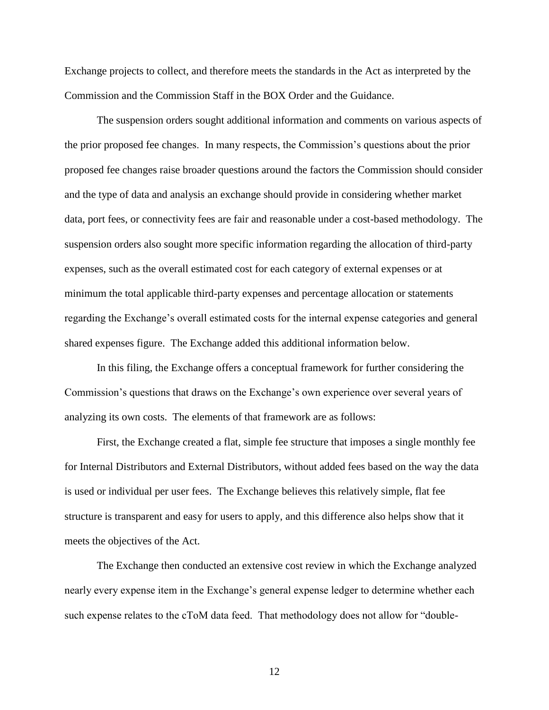Exchange projects to collect, and therefore meets the standards in the Act as interpreted by the Commission and the Commission Staff in the BOX Order and the Guidance.

The suspension orders sought additional information and comments on various aspects of the prior proposed fee changes. In many respects, the Commission's questions about the prior proposed fee changes raise broader questions around the factors the Commission should consider and the type of data and analysis an exchange should provide in considering whether market data, port fees, or connectivity fees are fair and reasonable under a cost-based methodology. The suspension orders also sought more specific information regarding the allocation of third-party expenses, such as the overall estimated cost for each category of external expenses or at minimum the total applicable third-party expenses and percentage allocation or statements regarding the Exchange's overall estimated costs for the internal expense categories and general shared expenses figure. The Exchange added this additional information below.

In this filing, the Exchange offers a conceptual framework for further considering the Commission's questions that draws on the Exchange's own experience over several years of analyzing its own costs. The elements of that framework are as follows:

First, the Exchange created a flat, simple fee structure that imposes a single monthly fee for Internal Distributors and External Distributors, without added fees based on the way the data is used or individual per user fees. The Exchange believes this relatively simple, flat fee structure is transparent and easy for users to apply, and this difference also helps show that it meets the objectives of the Act.

The Exchange then conducted an extensive cost review in which the Exchange analyzed nearly every expense item in the Exchange's general expense ledger to determine whether each such expense relates to the cToM data feed. That methodology does not allow for "double-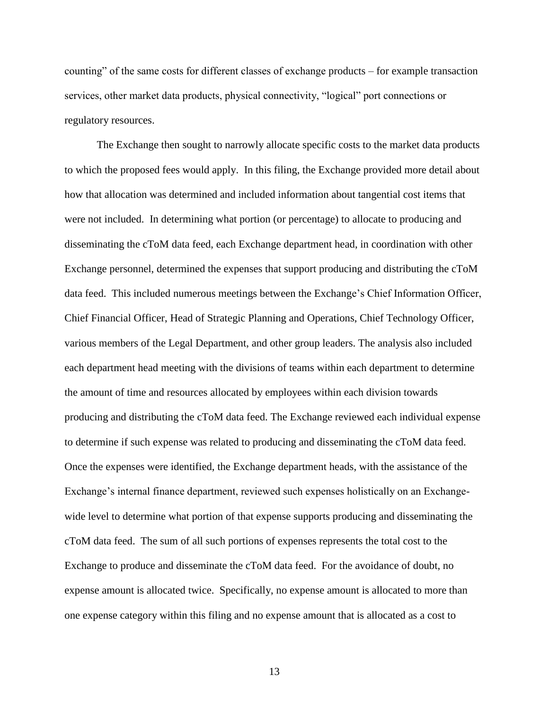counting" of the same costs for different classes of exchange products – for example transaction services, other market data products, physical connectivity, "logical" port connections or regulatory resources.

The Exchange then sought to narrowly allocate specific costs to the market data products to which the proposed fees would apply. In this filing, the Exchange provided more detail about how that allocation was determined and included information about tangential cost items that were not included. In determining what portion (or percentage) to allocate to producing and disseminating the cToM data feed, each Exchange department head, in coordination with other Exchange personnel, determined the expenses that support producing and distributing the cToM data feed. This included numerous meetings between the Exchange's Chief Information Officer, Chief Financial Officer, Head of Strategic Planning and Operations, Chief Technology Officer, various members of the Legal Department, and other group leaders. The analysis also included each department head meeting with the divisions of teams within each department to determine the amount of time and resources allocated by employees within each division towards producing and distributing the cToM data feed. The Exchange reviewed each individual expense to determine if such expense was related to producing and disseminating the cToM data feed. Once the expenses were identified, the Exchange department heads, with the assistance of the Exchange's internal finance department, reviewed such expenses holistically on an Exchangewide level to determine what portion of that expense supports producing and disseminating the cToM data feed. The sum of all such portions of expenses represents the total cost to the Exchange to produce and disseminate the cToM data feed. For the avoidance of doubt, no expense amount is allocated twice. Specifically, no expense amount is allocated to more than one expense category within this filing and no expense amount that is allocated as a cost to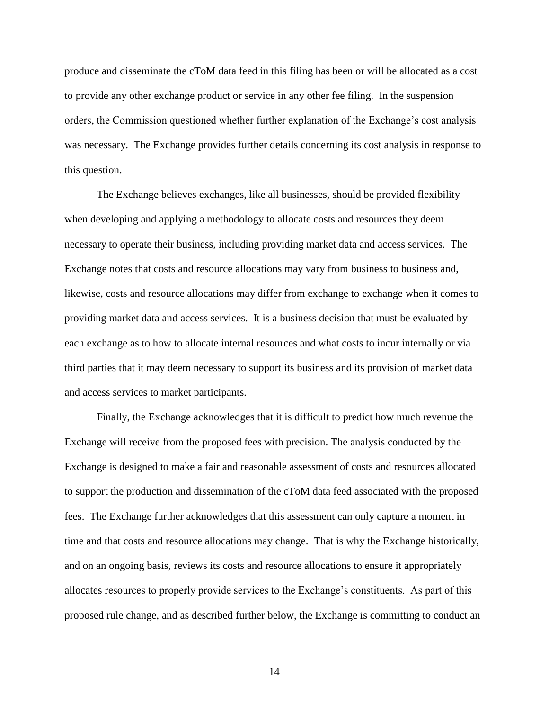produce and disseminate the cToM data feed in this filing has been or will be allocated as a cost to provide any other exchange product or service in any other fee filing. In the suspension orders, the Commission questioned whether further explanation of the Exchange's cost analysis was necessary. The Exchange provides further details concerning its cost analysis in response to this question.

The Exchange believes exchanges, like all businesses, should be provided flexibility when developing and applying a methodology to allocate costs and resources they deem necessary to operate their business, including providing market data and access services. The Exchange notes that costs and resource allocations may vary from business to business and, likewise, costs and resource allocations may differ from exchange to exchange when it comes to providing market data and access services. It is a business decision that must be evaluated by each exchange as to how to allocate internal resources and what costs to incur internally or via third parties that it may deem necessary to support its business and its provision of market data and access services to market participants.

Finally, the Exchange acknowledges that it is difficult to predict how much revenue the Exchange will receive from the proposed fees with precision. The analysis conducted by the Exchange is designed to make a fair and reasonable assessment of costs and resources allocated to support the production and dissemination of the cToM data feed associated with the proposed fees. The Exchange further acknowledges that this assessment can only capture a moment in time and that costs and resource allocations may change. That is why the Exchange historically, and on an ongoing basis, reviews its costs and resource allocations to ensure it appropriately allocates resources to properly provide services to the Exchange's constituents. As part of this proposed rule change, and as described further below, the Exchange is committing to conduct an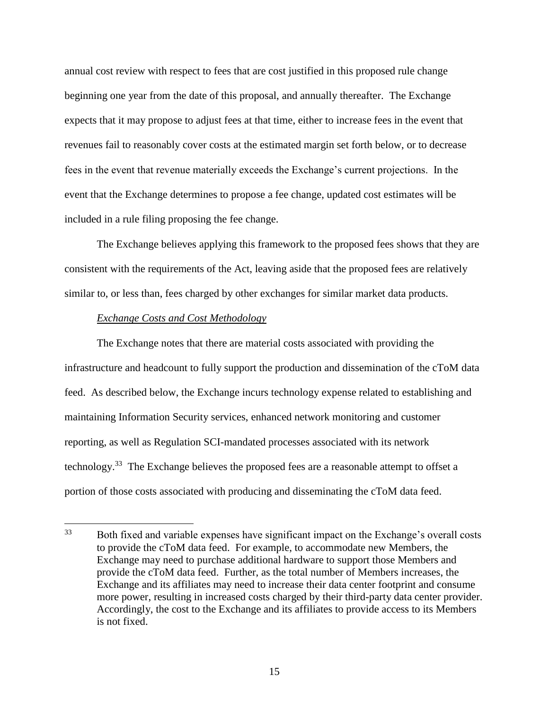annual cost review with respect to fees that are cost justified in this proposed rule change beginning one year from the date of this proposal, and annually thereafter. The Exchange expects that it may propose to adjust fees at that time, either to increase fees in the event that revenues fail to reasonably cover costs at the estimated margin set forth below, or to decrease fees in the event that revenue materially exceeds the Exchange's current projections. In the event that the Exchange determines to propose a fee change, updated cost estimates will be included in a rule filing proposing the fee change.

The Exchange believes applying this framework to the proposed fees shows that they are consistent with the requirements of the Act, leaving aside that the proposed fees are relatively similar to, or less than, fees charged by other exchanges for similar market data products.

## *Exchange Costs and Cost Methodology*

The Exchange notes that there are material costs associated with providing the infrastructure and headcount to fully support the production and dissemination of the cToM data feed. As described below, the Exchange incurs technology expense related to establishing and maintaining Information Security services, enhanced network monitoring and customer reporting, as well as Regulation SCI-mandated processes associated with its network technology.<sup>33</sup> The Exchange believes the proposed fees are a reasonable attempt to offset a portion of those costs associated with producing and disseminating the cToM data feed.

<sup>33</sup> Both fixed and variable expenses have significant impact on the Exchange's overall costs to provide the cToM data feed. For example, to accommodate new Members, the Exchange may need to purchase additional hardware to support those Members and provide the cToM data feed. Further, as the total number of Members increases, the Exchange and its affiliates may need to increase their data center footprint and consume more power, resulting in increased costs charged by their third-party data center provider. Accordingly, the cost to the Exchange and its affiliates to provide access to its Members is not fixed.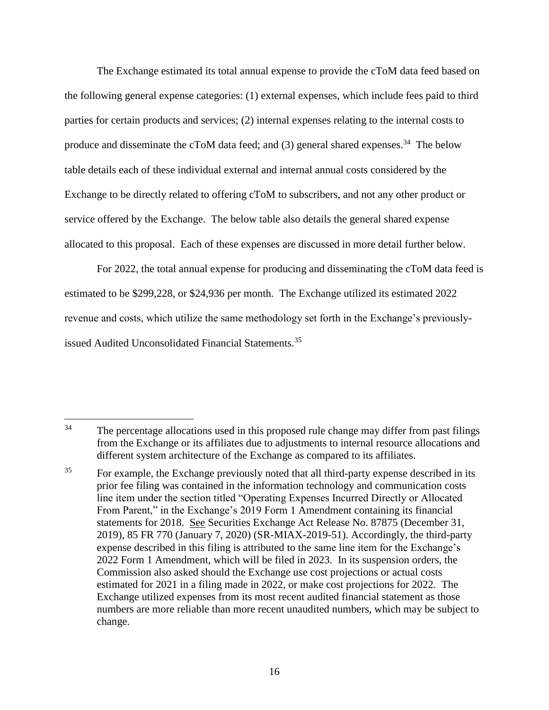The Exchange estimated its total annual expense to provide the cToM data feed based on the following general expense categories: (1) external expenses, which include fees paid to third parties for certain products and services; (2) internal expenses relating to the internal costs to produce and disseminate the cToM data feed; and  $(3)$  general shared expenses.<sup>34</sup> The below table details each of these individual external and internal annual costs considered by the Exchange to be directly related to offering cToM to subscribers, and not any other product or service offered by the Exchange. The below table also details the general shared expense allocated to this proposal. Each of these expenses are discussed in more detail further below.

For 2022, the total annual expense for producing and disseminating the cToM data feed is estimated to be \$299,228, or \$24,936 per month. The Exchange utilized its estimated 2022 revenue and costs, which utilize the same methodology set forth in the Exchange's previouslyissued Audited Unconsolidated Financial Statements.<sup>35</sup>

 $\overline{a}$ <sup>34</sup> The percentage allocations used in this proposed rule change may differ from past filings from the Exchange or its affiliates due to adjustments to internal resource allocations and different system architecture of the Exchange as compared to its affiliates.

<sup>&</sup>lt;sup>35</sup> For example, the Exchange previously noted that all third-party expense described in its prior fee filing was contained in the information technology and communication costs line item under the section titled "Operating Expenses Incurred Directly or Allocated From Parent," in the Exchange's 2019 Form 1 Amendment containing its financial statements for 2018. See Securities Exchange Act Release No. 87875 (December 31, 2019), 85 FR 770 (January 7, 2020) (SR-MIAX-2019-51). Accordingly, the third-party expense described in this filing is attributed to the same line item for the Exchange's 2022 Form 1 Amendment, which will be filed in 2023. In its suspension orders, the Commission also asked should the Exchange use cost projections or actual costs estimated for 2021 in a filing made in 2022, or make cost projections for 2022. The Exchange utilized expenses from its most recent audited financial statement as those numbers are more reliable than more recent unaudited numbers, which may be subject to change.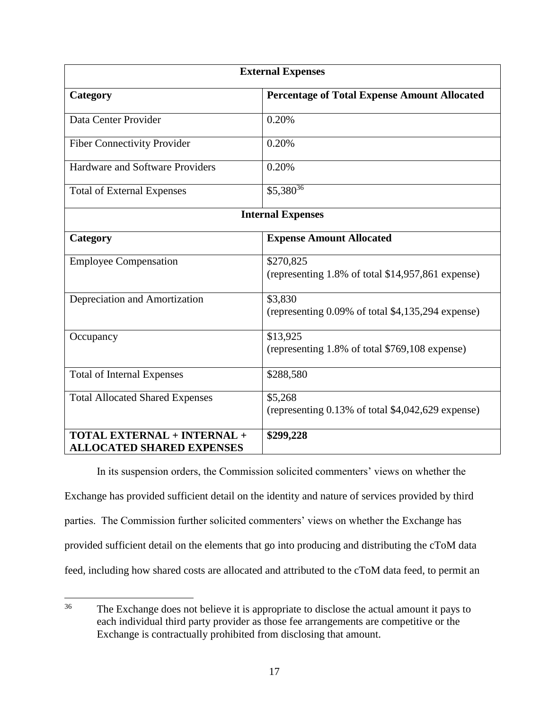<span id="page-16-0"></span>

| <b>External Expenses</b>                                        |                                                                |
|-----------------------------------------------------------------|----------------------------------------------------------------|
| Category                                                        | <b>Percentage of Total Expense Amount Allocated</b>            |
| Data Center Provider                                            | 0.20%                                                          |
| <b>Fiber Connectivity Provider</b>                              | 0.20%                                                          |
| Hardware and Software Providers                                 | 0.20%                                                          |
| <b>Total of External Expenses</b>                               | $$5,380^{36}$                                                  |
| <b>Internal Expenses</b>                                        |                                                                |
| Category                                                        | <b>Expense Amount Allocated</b>                                |
| <b>Employee Compensation</b>                                    | \$270,825<br>(representing 1.8% of total \$14,957,861 expense) |
| Depreciation and Amortization                                   | \$3,830<br>(representing 0.09% of total \$4,135,294 expense)   |
| Occupancy                                                       | \$13,925<br>(representing 1.8% of total \$769,108 expense)     |
| <b>Total of Internal Expenses</b>                               | \$288,580                                                      |
| <b>Total Allocated Shared Expenses</b>                          | \$5,268<br>(representing 0.13% of total \$4,042,629 expense)   |
| TOTAL EXTERNAL + INTERNAL +<br><b>ALLOCATED SHARED EXPENSES</b> | \$299,228                                                      |

In its suspension orders, the Commission solicited commenters' views on whether the Exchange has provided sufficient detail on the identity and nature of services provided by third parties. The Commission further solicited commenters' views on whether the Exchange has provided sufficient detail on the elements that go into producing and distributing the cToM data feed, including how shared costs are allocated and attributed to the cToM data feed, to permit an

 $36$ The Exchange does not believe it is appropriate to disclose the actual amount it pays to each individual third party provider as those fee arrangements are competitive or the Exchange is contractually prohibited from disclosing that amount.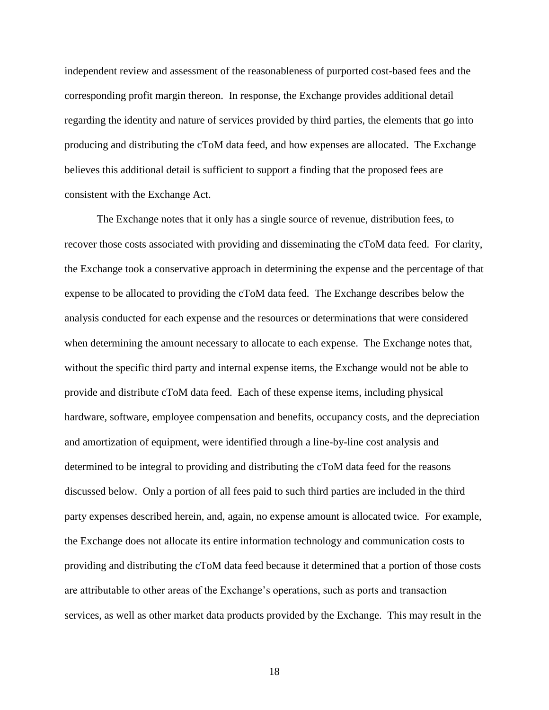independent review and assessment of the reasonableness of purported cost-based fees and the corresponding profit margin thereon. In response, the Exchange provides additional detail regarding the identity and nature of services provided by third parties, the elements that go into producing and distributing the cToM data feed, and how expenses are allocated. The Exchange believes this additional detail is sufficient to support a finding that the proposed fees are consistent with the Exchange Act.

The Exchange notes that it only has a single source of revenue, distribution fees, to recover those costs associated with providing and disseminating the cToM data feed. For clarity, the Exchange took a conservative approach in determining the expense and the percentage of that expense to be allocated to providing the cToM data feed. The Exchange describes below the analysis conducted for each expense and the resources or determinations that were considered when determining the amount necessary to allocate to each expense. The Exchange notes that, without the specific third party and internal expense items, the Exchange would not be able to provide and distribute cToM data feed. Each of these expense items, including physical hardware, software, employee compensation and benefits, occupancy costs, and the depreciation and amortization of equipment, were identified through a line-by-line cost analysis and determined to be integral to providing and distributing the cToM data feed for the reasons discussed below. Only a portion of all fees paid to such third parties are included in the third party expenses described herein, and, again, no expense amount is allocated twice. For example, the Exchange does not allocate its entire information technology and communication costs to providing and distributing the cToM data feed because it determined that a portion of those costs are attributable to other areas of the Exchange's operations, such as ports and transaction services, as well as other market data products provided by the Exchange. This may result in the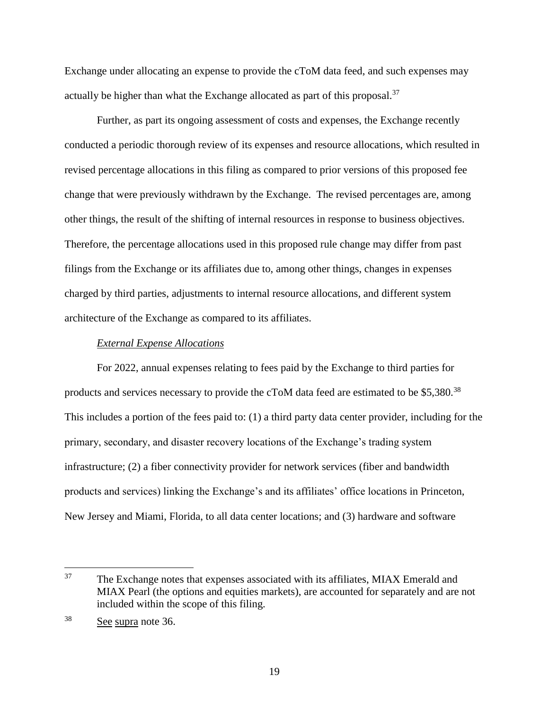Exchange under allocating an expense to provide the cToM data feed, and such expenses may actually be higher than what the Exchange allocated as part of this proposal.<sup>37</sup>

Further, as part its ongoing assessment of costs and expenses, the Exchange recently conducted a periodic thorough review of its expenses and resource allocations, which resulted in revised percentage allocations in this filing as compared to prior versions of this proposed fee change that were previously withdrawn by the Exchange. The revised percentages are, among other things, the result of the shifting of internal resources in response to business objectives. Therefore, the percentage allocations used in this proposed rule change may differ from past filings from the Exchange or its affiliates due to, among other things, changes in expenses charged by third parties, adjustments to internal resource allocations, and different system architecture of the Exchange as compared to its affiliates.

### *External Expense Allocations*

For 2022, annual expenses relating to fees paid by the Exchange to third parties for products and services necessary to provide the cToM data feed are estimated to be \$5,380.<sup>38</sup> This includes a portion of the fees paid to: (1) a third party data center provider, including for the primary, secondary, and disaster recovery locations of the Exchange's trading system infrastructure; (2) a fiber connectivity provider for network services (fiber and bandwidth products and services) linking the Exchange's and its affiliates' office locations in Princeton, New Jersey and Miami, Florida, to all data center locations; and (3) hardware and software

 $\overline{a}$ 

<sup>&</sup>lt;sup>37</sup> The Exchange notes that expenses associated with its affiliates, MIAX Emerald and MIAX Pearl (the options and equities markets), are accounted for separately and are not included within the scope of this filing.

<sup>38</sup> See supra note [36.](#page-16-0)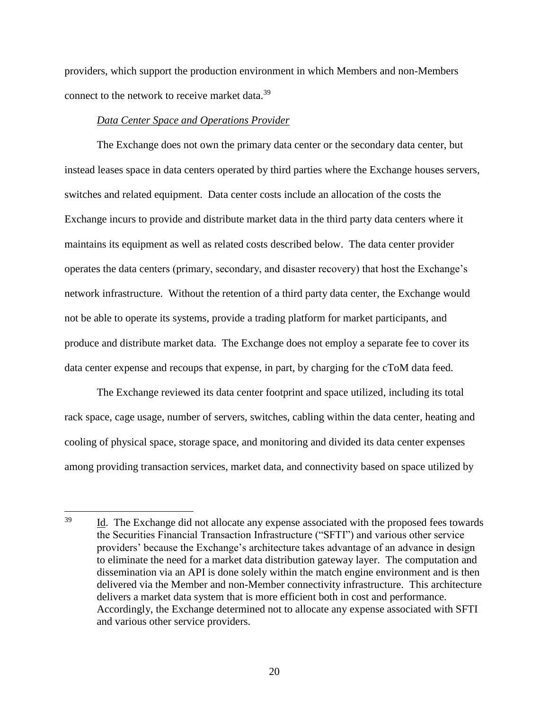providers, which support the production environment in which Members and non-Members connect to the network to receive market data.<sup>39</sup>

## *Data Center Space and Operations Provider*

 $\overline{a}$ 

The Exchange does not own the primary data center or the secondary data center, but instead leases space in data centers operated by third parties where the Exchange houses servers, switches and related equipment. Data center costs include an allocation of the costs the Exchange incurs to provide and distribute market data in the third party data centers where it maintains its equipment as well as related costs described below. The data center provider operates the data centers (primary, secondary, and disaster recovery) that host the Exchange's network infrastructure. Without the retention of a third party data center, the Exchange would not be able to operate its systems, provide a trading platform for market participants, and produce and distribute market data. The Exchange does not employ a separate fee to cover its data center expense and recoups that expense, in part, by charging for the cToM data feed.

The Exchange reviewed its data center footprint and space utilized, including its total rack space, cage usage, number of servers, switches, cabling within the data center, heating and cooling of physical space, storage space, and monitoring and divided its data center expenses among providing transaction services, market data, and connectivity based on space utilized by

<sup>&</sup>lt;sup>39</sup> Id. The Exchange did not allocate any expense associated with the proposed fees towards the Securities Financial Transaction Infrastructure ("SFTI") and various other service providers' because the Exchange's architecture takes advantage of an advance in design to eliminate the need for a market data distribution gateway layer. The computation and dissemination via an API is done solely within the match engine environment and is then delivered via the Member and non-Member connectivity infrastructure. This architecture delivers a market data system that is more efficient both in cost and performance. Accordingly, the Exchange determined not to allocate any expense associated with SFTI and various other service providers.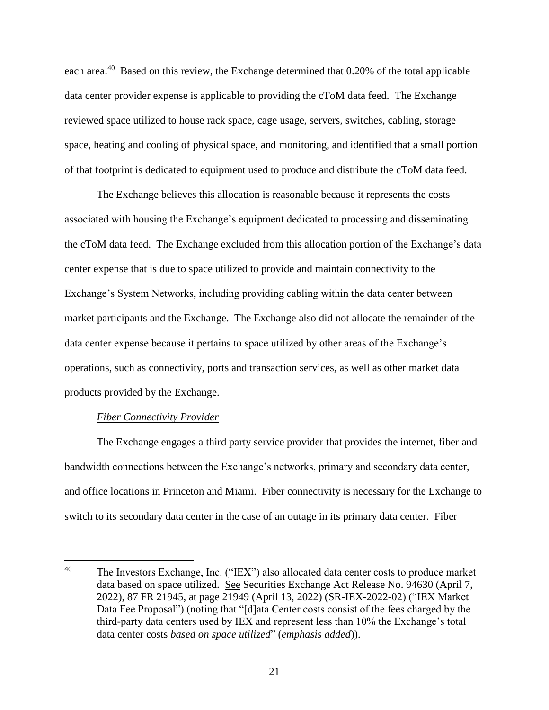each area.<sup>40</sup> Based on this review, the Exchange determined that 0.20% of the total applicable data center provider expense is applicable to providing the cToM data feed. The Exchange reviewed space utilized to house rack space, cage usage, servers, switches, cabling, storage space, heating and cooling of physical space, and monitoring, and identified that a small portion of that footprint is dedicated to equipment used to produce and distribute the cToM data feed.

The Exchange believes this allocation is reasonable because it represents the costs associated with housing the Exchange's equipment dedicated to processing and disseminating the cToM data feed. The Exchange excluded from this allocation portion of the Exchange's data center expense that is due to space utilized to provide and maintain connectivity to the Exchange's System Networks, including providing cabling within the data center between market participants and the Exchange. The Exchange also did not allocate the remainder of the data center expense because it pertains to space utilized by other areas of the Exchange's operations, such as connectivity, ports and transaction services, as well as other market data products provided by the Exchange.

## *Fiber Connectivity Provider*

 $\overline{a}$ 

The Exchange engages a third party service provider that provides the internet, fiber and bandwidth connections between the Exchange's networks, primary and secondary data center, and office locations in Princeton and Miami. Fiber connectivity is necessary for the Exchange to switch to its secondary data center in the case of an outage in its primary data center. Fiber

<sup>&</sup>lt;sup>40</sup> The Investors Exchange, Inc. ("IEX") also allocated data center costs to produce market data based on space utilized. See Securities Exchange Act Release No. 94630 (April 7, 2022), 87 FR 21945, at page 21949 (April 13, 2022) (SR-IEX-2022-02) ("IEX Market Data Fee Proposal") (noting that "[d]ata Center costs consist of the fees charged by the third-party data centers used by IEX and represent less than 10% the Exchange's total data center costs *based on space utilized*" (*emphasis added*)).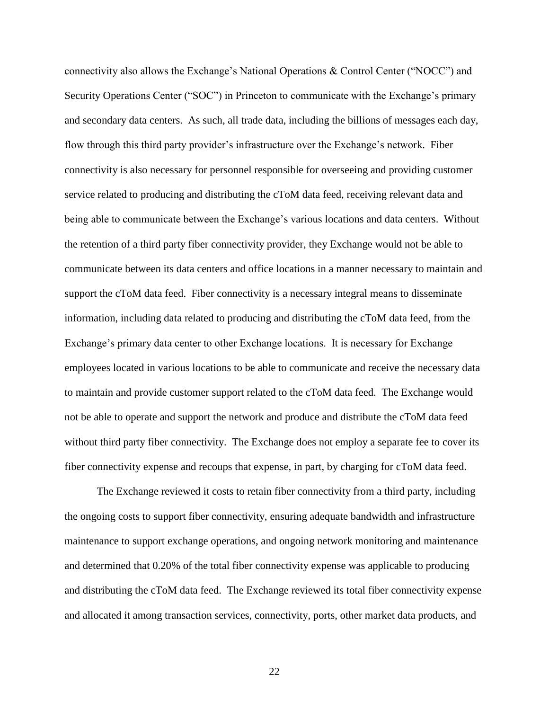connectivity also allows the Exchange's National Operations & Control Center ("NOCC") and Security Operations Center ("SOC") in Princeton to communicate with the Exchange's primary and secondary data centers. As such, all trade data, including the billions of messages each day, flow through this third party provider's infrastructure over the Exchange's network. Fiber connectivity is also necessary for personnel responsible for overseeing and providing customer service related to producing and distributing the cToM data feed, receiving relevant data and being able to communicate between the Exchange's various locations and data centers. Without the retention of a third party fiber connectivity provider, they Exchange would not be able to communicate between its data centers and office locations in a manner necessary to maintain and support the cToM data feed. Fiber connectivity is a necessary integral means to disseminate information, including data related to producing and distributing the cToM data feed, from the Exchange's primary data center to other Exchange locations. It is necessary for Exchange employees located in various locations to be able to communicate and receive the necessary data to maintain and provide customer support related to the cToM data feed. The Exchange would not be able to operate and support the network and produce and distribute the cToM data feed without third party fiber connectivity. The Exchange does not employ a separate fee to cover its fiber connectivity expense and recoups that expense, in part, by charging for cToM data feed.

The Exchange reviewed it costs to retain fiber connectivity from a third party, including the ongoing costs to support fiber connectivity, ensuring adequate bandwidth and infrastructure maintenance to support exchange operations, and ongoing network monitoring and maintenance and determined that 0.20% of the total fiber connectivity expense was applicable to producing and distributing the cToM data feed. The Exchange reviewed its total fiber connectivity expense and allocated it among transaction services, connectivity, ports, other market data products, and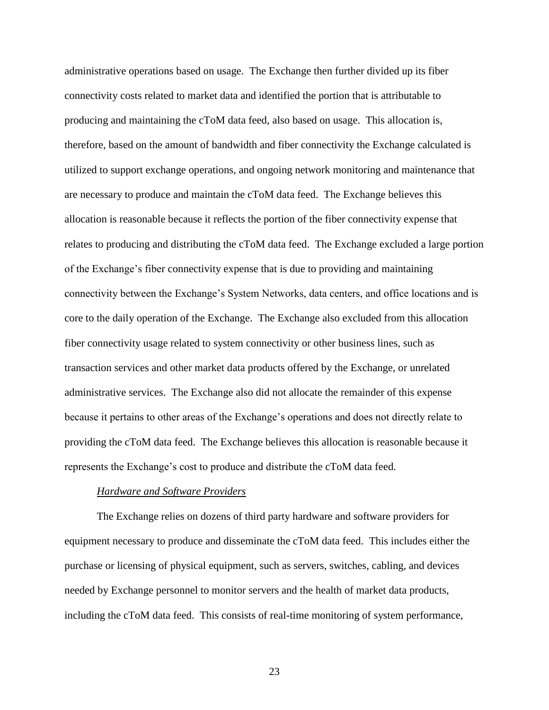administrative operations based on usage. The Exchange then further divided up its fiber connectivity costs related to market data and identified the portion that is attributable to producing and maintaining the cToM data feed, also based on usage. This allocation is, therefore, based on the amount of bandwidth and fiber connectivity the Exchange calculated is utilized to support exchange operations, and ongoing network monitoring and maintenance that are necessary to produce and maintain the cToM data feed. The Exchange believes this allocation is reasonable because it reflects the portion of the fiber connectivity expense that relates to producing and distributing the cToM data feed. The Exchange excluded a large portion of the Exchange's fiber connectivity expense that is due to providing and maintaining connectivity between the Exchange's System Networks, data centers, and office locations and is core to the daily operation of the Exchange. The Exchange also excluded from this allocation fiber connectivity usage related to system connectivity or other business lines, such as transaction services and other market data products offered by the Exchange, or unrelated administrative services. The Exchange also did not allocate the remainder of this expense because it pertains to other areas of the Exchange's operations and does not directly relate to providing the cToM data feed. The Exchange believes this allocation is reasonable because it represents the Exchange's cost to produce and distribute the cToM data feed.

#### *Hardware and Software Providers*

The Exchange relies on dozens of third party hardware and software providers for equipment necessary to produce and disseminate the cToM data feed. This includes either the purchase or licensing of physical equipment, such as servers, switches, cabling, and devices needed by Exchange personnel to monitor servers and the health of market data products, including the cToM data feed. This consists of real-time monitoring of system performance,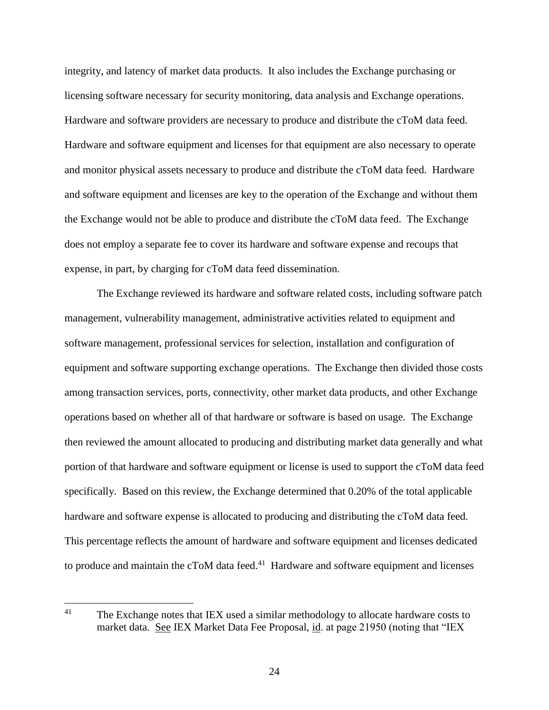integrity, and latency of market data products. It also includes the Exchange purchasing or licensing software necessary for security monitoring, data analysis and Exchange operations. Hardware and software providers are necessary to produce and distribute the cToM data feed. Hardware and software equipment and licenses for that equipment are also necessary to operate and monitor physical assets necessary to produce and distribute the cToM data feed. Hardware and software equipment and licenses are key to the operation of the Exchange and without them the Exchange would not be able to produce and distribute the cToM data feed. The Exchange does not employ a separate fee to cover its hardware and software expense and recoups that expense, in part, by charging for cToM data feed dissemination.

The Exchange reviewed its hardware and software related costs, including software patch management, vulnerability management, administrative activities related to equipment and software management, professional services for selection, installation and configuration of equipment and software supporting exchange operations. The Exchange then divided those costs among transaction services, ports, connectivity, other market data products, and other Exchange operations based on whether all of that hardware or software is based on usage. The Exchange then reviewed the amount allocated to producing and distributing market data generally and what portion of that hardware and software equipment or license is used to support the cToM data feed specifically. Based on this review, the Exchange determined that 0.20% of the total applicable hardware and software expense is allocated to producing and distributing the cToM data feed. This percentage reflects the amount of hardware and software equipment and licenses dedicated to produce and maintain the c $T$ oM data feed. $41$  Hardware and software equipment and licenses

<span id="page-23-0"></span> $41$ The Exchange notes that IEX used a similar methodology to allocate hardware costs to market data. See IEX Market Data Fee Proposal, id. at page 21950 (noting that "IEX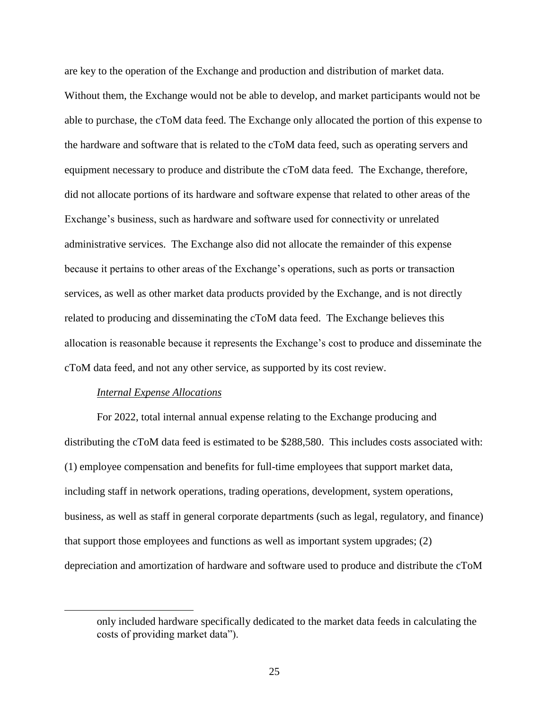are key to the operation of the Exchange and production and distribution of market data. Without them, the Exchange would not be able to develop, and market participants would not be able to purchase, the cToM data feed. The Exchange only allocated the portion of this expense to the hardware and software that is related to the cToM data feed, such as operating servers and equipment necessary to produce and distribute the cToM data feed. The Exchange, therefore, did not allocate portions of its hardware and software expense that related to other areas of the Exchange's business, such as hardware and software used for connectivity or unrelated administrative services. The Exchange also did not allocate the remainder of this expense because it pertains to other areas of the Exchange's operations, such as ports or transaction services, as well as other market data products provided by the Exchange, and is not directly related to producing and disseminating the cToM data feed. The Exchange believes this allocation is reasonable because it represents the Exchange's cost to produce and disseminate the cToM data feed, and not any other service, as supported by its cost review.

### *Internal Expense Allocations*

 $\overline{a}$ 

For 2022, total internal annual expense relating to the Exchange producing and distributing the cToM data feed is estimated to be \$288,580. This includes costs associated with: (1) employee compensation and benefits for full-time employees that support market data, including staff in network operations, trading operations, development, system operations, business, as well as staff in general corporate departments (such as legal, regulatory, and finance) that support those employees and functions as well as important system upgrades; (2) depreciation and amortization of hardware and software used to produce and distribute the cToM

only included hardware specifically dedicated to the market data feeds in calculating the costs of providing market data").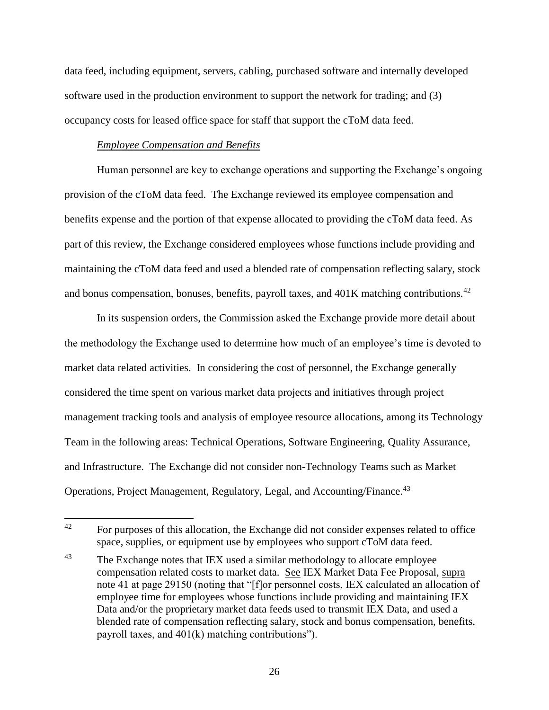data feed, including equipment, servers, cabling, purchased software and internally developed software used in the production environment to support the network for trading; and (3) occupancy costs for leased office space for staff that support the cToM data feed.

## *Employee Compensation and Benefits*

Human personnel are key to exchange operations and supporting the Exchange's ongoing provision of the cToM data feed. The Exchange reviewed its employee compensation and benefits expense and the portion of that expense allocated to providing the cToM data feed. As part of this review, the Exchange considered employees whose functions include providing and maintaining the cToM data feed and used a blended rate of compensation reflecting salary, stock and bonus compensation, bonuses, benefits, payroll taxes, and 401K matching contributions.<sup>42</sup>

In its suspension orders, the Commission asked the Exchange provide more detail about the methodology the Exchange used to determine how much of an employee's time is devoted to market data related activities. In considering the cost of personnel, the Exchange generally considered the time spent on various market data projects and initiatives through project management tracking tools and analysis of employee resource allocations, among its Technology Team in the following areas: Technical Operations, Software Engineering, Quality Assurance, and Infrastructure. The Exchange did not consider non-Technology Teams such as Market Operations, Project Management, Regulatory, Legal, and Accounting/Finance.<sup>43</sup>

 $42$ <sup>42</sup> For purposes of this allocation, the Exchange did not consider expenses related to office space, supplies, or equipment use by employees who support cToM data feed.

<sup>&</sup>lt;sup>43</sup> The Exchange notes that IEX used a similar methodology to allocate employee compensation related costs to market data. See IEX Market Data Fee Proposal, supra note [41](#page-23-0) at page 29150 (noting that "[f]or personnel costs, IEX calculated an allocation of employee time for employees whose functions include providing and maintaining IEX Data and/or the proprietary market data feeds used to transmit IEX Data, and used a blended rate of compensation reflecting salary, stock and bonus compensation, benefits, payroll taxes, and 401(k) matching contributions").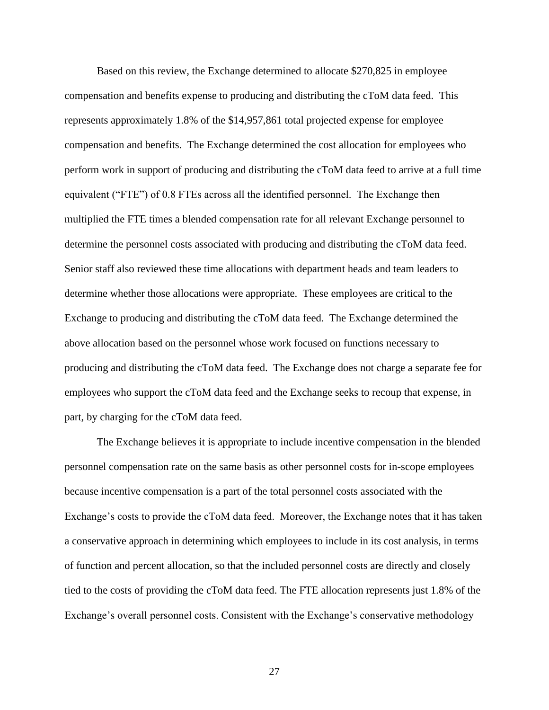Based on this review, the Exchange determined to allocate \$270,825 in employee compensation and benefits expense to producing and distributing the cToM data feed. This represents approximately 1.8% of the \$14,957,861 total projected expense for employee compensation and benefits. The Exchange determined the cost allocation for employees who perform work in support of producing and distributing the cToM data feed to arrive at a full time equivalent ("FTE") of 0.8 FTEs across all the identified personnel. The Exchange then multiplied the FTE times a blended compensation rate for all relevant Exchange personnel to determine the personnel costs associated with producing and distributing the cToM data feed. Senior staff also reviewed these time allocations with department heads and team leaders to determine whether those allocations were appropriate. These employees are critical to the Exchange to producing and distributing the cToM data feed. The Exchange determined the above allocation based on the personnel whose work focused on functions necessary to producing and distributing the cToM data feed. The Exchange does not charge a separate fee for employees who support the cToM data feed and the Exchange seeks to recoup that expense, in part, by charging for the cToM data feed.

The Exchange believes it is appropriate to include incentive compensation in the blended personnel compensation rate on the same basis as other personnel costs for in-scope employees because incentive compensation is a part of the total personnel costs associated with the Exchange's costs to provide the cToM data feed. Moreover, the Exchange notes that it has taken a conservative approach in determining which employees to include in its cost analysis, in terms of function and percent allocation, so that the included personnel costs are directly and closely tied to the costs of providing the cToM data feed. The FTE allocation represents just 1.8% of the Exchange's overall personnel costs. Consistent with the Exchange's conservative methodology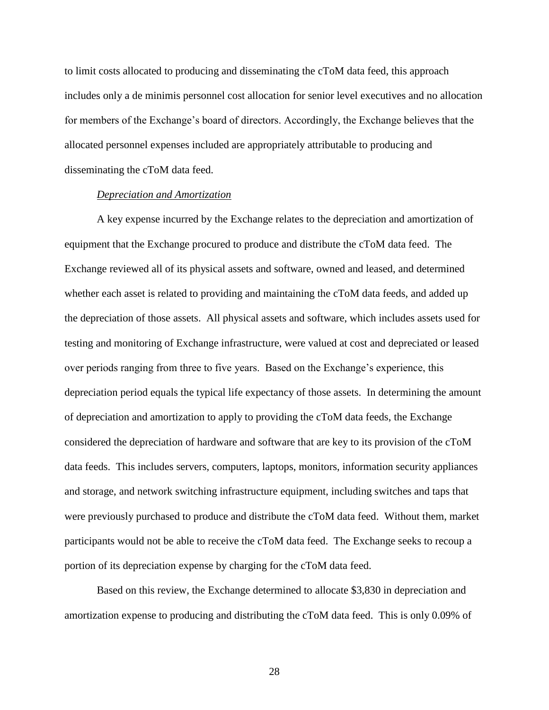to limit costs allocated to producing and disseminating the cToM data feed, this approach includes only a de minimis personnel cost allocation for senior level executives and no allocation for members of the Exchange's board of directors. Accordingly, the Exchange believes that the allocated personnel expenses included are appropriately attributable to producing and disseminating the cToM data feed.

### *Depreciation and Amortization*

A key expense incurred by the Exchange relates to the depreciation and amortization of equipment that the Exchange procured to produce and distribute the cToM data feed. The Exchange reviewed all of its physical assets and software, owned and leased, and determined whether each asset is related to providing and maintaining the cToM data feeds, and added up the depreciation of those assets. All physical assets and software, which includes assets used for testing and monitoring of Exchange infrastructure, were valued at cost and depreciated or leased over periods ranging from three to five years. Based on the Exchange's experience, this depreciation period equals the typical life expectancy of those assets. In determining the amount of depreciation and amortization to apply to providing the cToM data feeds, the Exchange considered the depreciation of hardware and software that are key to its provision of the cToM data feeds. This includes servers, computers, laptops, monitors, information security appliances and storage, and network switching infrastructure equipment, including switches and taps that were previously purchased to produce and distribute the cToM data feed. Without them, market participants would not be able to receive the cToM data feed. The Exchange seeks to recoup a portion of its depreciation expense by charging for the cToM data feed.

Based on this review, the Exchange determined to allocate \$3,830 in depreciation and amortization expense to producing and distributing the cToM data feed. This is only 0.09% of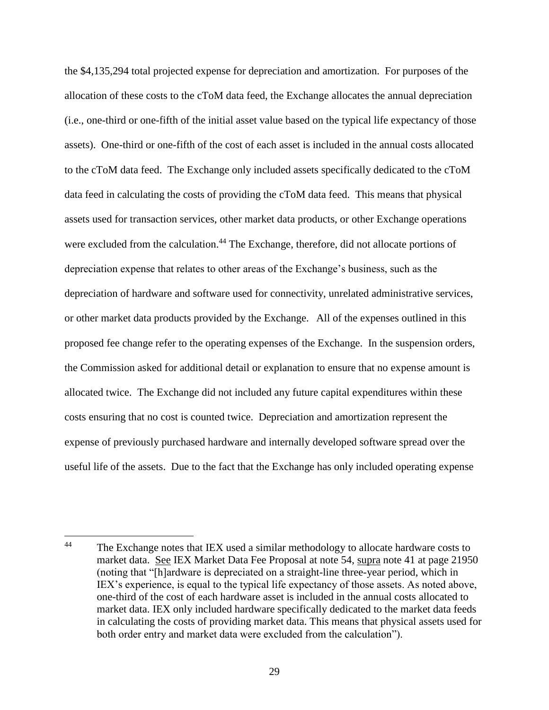the \$4,135,294 total projected expense for depreciation and amortization. For purposes of the allocation of these costs to the cToM data feed, the Exchange allocates the annual depreciation (i.e., one-third or one-fifth of the initial asset value based on the typical life expectancy of those assets). One-third or one-fifth of the cost of each asset is included in the annual costs allocated to the cToM data feed. The Exchange only included assets specifically dedicated to the cToM data feed in calculating the costs of providing the cToM data feed. This means that physical assets used for transaction services, other market data products, or other Exchange operations were excluded from the calculation.<sup>44</sup> The Exchange, therefore, did not allocate portions of depreciation expense that relates to other areas of the Exchange's business, such as the depreciation of hardware and software used for connectivity, unrelated administrative services, or other market data products provided by the Exchange. All of the expenses outlined in this proposed fee change refer to the operating expenses of the Exchange. In the suspension orders, the Commission asked for additional detail or explanation to ensure that no expense amount is allocated twice. The Exchange did not included any future capital expenditures within these costs ensuring that no cost is counted twice. Depreciation and amortization represent the expense of previously purchased hardware and internally developed software spread over the useful life of the assets. Due to the fact that the Exchange has only included operating expense

 $\overline{a}$ 

<sup>&</sup>lt;sup>44</sup> The Exchange notes that IEX used a similar methodology to allocate hardware costs to market data. See IEX Market Data Fee Proposal at note 54, supra note [41](#page-23-0) at page 21950 (noting that "[h]ardware is depreciated on a straight-line three-year period, which in IEX's experience, is equal to the typical life expectancy of those assets. As noted above, one-third of the cost of each hardware asset is included in the annual costs allocated to market data. IEX only included hardware specifically dedicated to the market data feeds in calculating the costs of providing market data. This means that physical assets used for both order entry and market data were excluded from the calculation").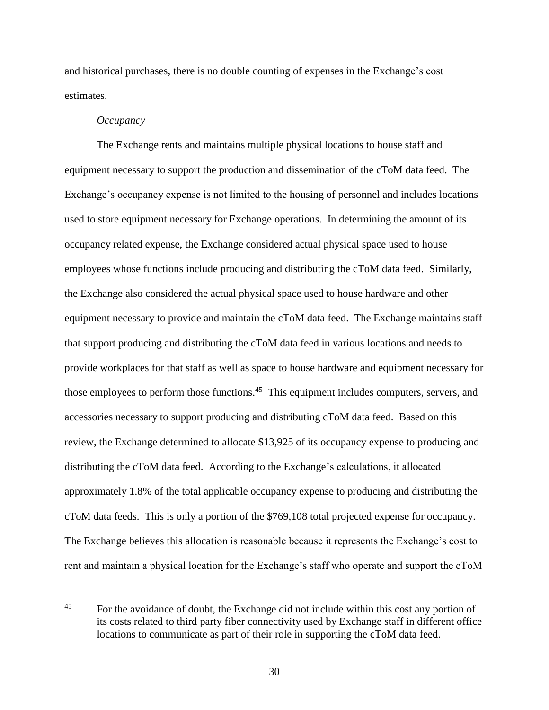and historical purchases, there is no double counting of expenses in the Exchange's cost estimates.

#### *Occupancy*

The Exchange rents and maintains multiple physical locations to house staff and equipment necessary to support the production and dissemination of the cToM data feed. The Exchange's occupancy expense is not limited to the housing of personnel and includes locations used to store equipment necessary for Exchange operations. In determining the amount of its occupancy related expense, the Exchange considered actual physical space used to house employees whose functions include producing and distributing the cToM data feed. Similarly, the Exchange also considered the actual physical space used to house hardware and other equipment necessary to provide and maintain the cToM data feed. The Exchange maintains staff that support producing and distributing the cToM data feed in various locations and needs to provide workplaces for that staff as well as space to house hardware and equipment necessary for those employees to perform those functions.<sup>45</sup> This equipment includes computers, servers, and accessories necessary to support producing and distributing cToM data feed. Based on this review, the Exchange determined to allocate \$13,925 of its occupancy expense to producing and distributing the cToM data feed. According to the Exchange's calculations, it allocated approximately 1.8% of the total applicable occupancy expense to producing and distributing the cToM data feeds. This is only a portion of the \$769,108 total projected expense for occupancy. The Exchange believes this allocation is reasonable because it represents the Exchange's cost to rent and maintain a physical location for the Exchange's staff who operate and support the cToM

 $45<sup>°</sup>$ For the avoidance of doubt, the Exchange did not include within this cost any portion of its costs related to third party fiber connectivity used by Exchange staff in different office locations to communicate as part of their role in supporting the cToM data feed.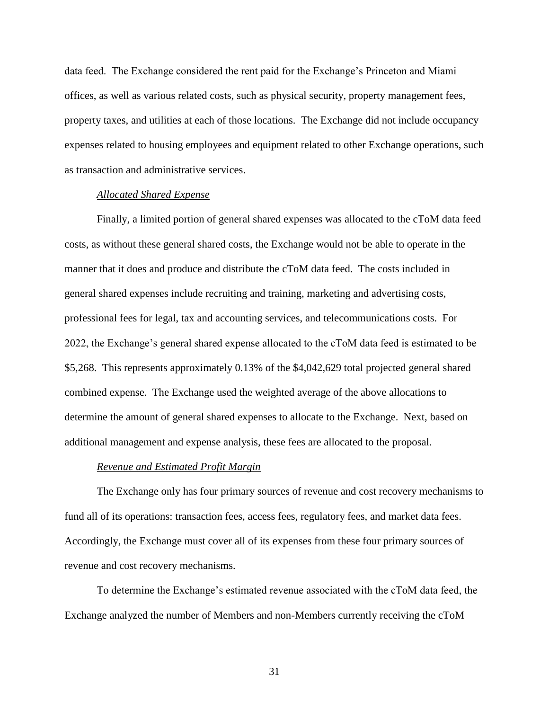data feed. The Exchange considered the rent paid for the Exchange's Princeton and Miami offices, as well as various related costs, such as physical security, property management fees, property taxes, and utilities at each of those locations. The Exchange did not include occupancy expenses related to housing employees and equipment related to other Exchange operations, such as transaction and administrative services.

### *Allocated Shared Expense*

Finally, a limited portion of general shared expenses was allocated to the cToM data feed costs, as without these general shared costs, the Exchange would not be able to operate in the manner that it does and produce and distribute the cToM data feed. The costs included in general shared expenses include recruiting and training, marketing and advertising costs, professional fees for legal, tax and accounting services, and telecommunications costs. For 2022, the Exchange's general shared expense allocated to the cToM data feed is estimated to be \$5,268. This represents approximately 0.13% of the \$4,042,629 total projected general shared combined expense. The Exchange used the weighted average of the above allocations to determine the amount of general shared expenses to allocate to the Exchange. Next, based on additional management and expense analysis, these fees are allocated to the proposal.

#### *Revenue and Estimated Profit Margin*

The Exchange only has four primary sources of revenue and cost recovery mechanisms to fund all of its operations: transaction fees, access fees, regulatory fees, and market data fees. Accordingly, the Exchange must cover all of its expenses from these four primary sources of revenue and cost recovery mechanisms.

To determine the Exchange's estimated revenue associated with the cToM data feed, the Exchange analyzed the number of Members and non-Members currently receiving the cToM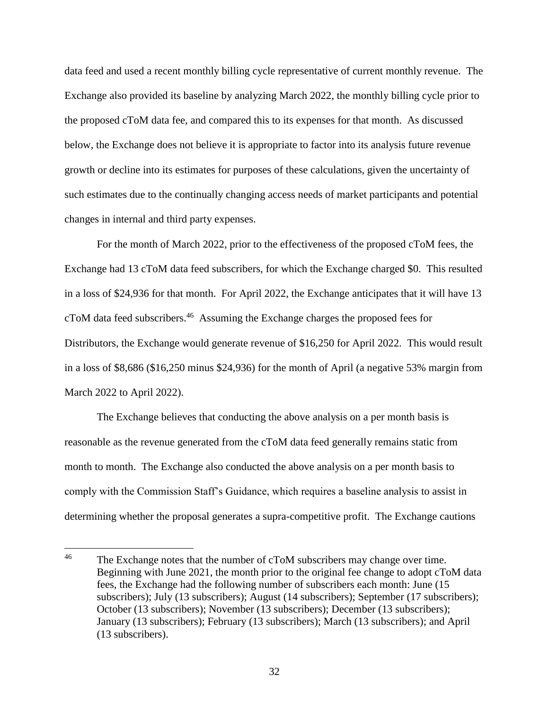data feed and used a recent monthly billing cycle representative of current monthly revenue. The Exchange also provided its baseline by analyzing March 2022, the monthly billing cycle prior to the proposed cToM data fee, and compared this to its expenses for that month. As discussed below, the Exchange does not believe it is appropriate to factor into its analysis future revenue growth or decline into its estimates for purposes of these calculations, given the uncertainty of such estimates due to the continually changing access needs of market participants and potential changes in internal and third party expenses.

For the month of March 2022, prior to the effectiveness of the proposed cToM fees, the Exchange had 13 cToM data feed subscribers, for which the Exchange charged \$0. This resulted in a loss of \$24,936 for that month. For April 2022, the Exchange anticipates that it will have 13 cToM data feed subscribers.<sup>46</sup> Assuming the Exchange charges the proposed fees for Distributors, the Exchange would generate revenue of \$16,250 for April 2022. This would result in a loss of \$8,686 (\$16,250 minus \$24,936) for the month of April (a negative 53% margin from March 2022 to April 2022).

The Exchange believes that conducting the above analysis on a per month basis is reasonable as the revenue generated from the cToM data feed generally remains static from month to month. The Exchange also conducted the above analysis on a per month basis to comply with the Commission Staff's Guidance, which requires a baseline analysis to assist in determining whether the proposal generates a supra-competitive profit. The Exchange cautions

 $46\,$ The Exchange notes that the number of cToM subscribers may change over time. Beginning with June 2021, the month prior to the original fee change to adopt cToM data fees, the Exchange had the following number of subscribers each month: June (15 subscribers); July (13 subscribers); August (14 subscribers); September (17 subscribers); October (13 subscribers); November (13 subscribers); December (13 subscribers); January (13 subscribers); February (13 subscribers); March (13 subscribers); and April (13 subscribers).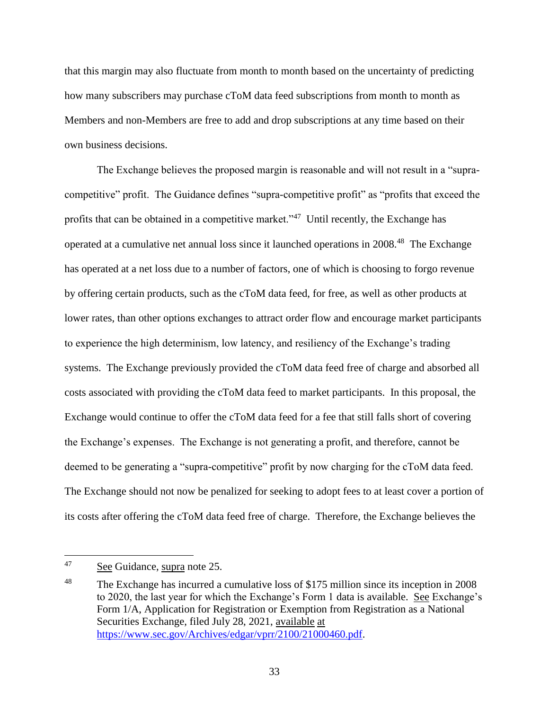that this margin may also fluctuate from month to month based on the uncertainty of predicting how many subscribers may purchase cToM data feed subscriptions from month to month as Members and non-Members are free to add and drop subscriptions at any time based on their own business decisions.

<span id="page-32-0"></span>The Exchange believes the proposed margin is reasonable and will not result in a "supracompetitive" profit. The Guidance defines "supra-competitive profit" as "profits that exceed the profits that can be obtained in a competitive market."<sup>47</sup> Until recently, the Exchange has operated at a cumulative net annual loss since it launched operations in 2008.<sup>48</sup> The Exchange has operated at a net loss due to a number of factors, one of which is choosing to forgo revenue by offering certain products, such as the cToM data feed, for free, as well as other products at lower rates, than other options exchanges to attract order flow and encourage market participants to experience the high determinism, low latency, and resiliency of the Exchange's trading systems. The Exchange previously provided the cToM data feed free of charge and absorbed all costs associated with providing the cToM data feed to market participants. In this proposal, the Exchange would continue to offer the cToM data feed for a fee that still falls short of covering the Exchange's expenses. The Exchange is not generating a profit, and therefore, cannot be deemed to be generating a "supra-competitive" profit by now charging for the cToM data feed. The Exchange should not now be penalized for seeking to adopt fees to at least cover a portion of its costs after offering the cToM data feed free of charge. Therefore, the Exchange believes the

<sup>47</sup> See Guidance, supra note [25.](#page-8-0)

<sup>&</sup>lt;sup>48</sup> The Exchange has incurred a cumulative loss of \$175 million since its inception in 2008 to 2020, the last year for which the Exchange's Form 1 data is available. See Exchange's Form 1/A, Application for Registration or Exemption from Registration as a National Securities Exchange, filed July 28, 2021, available at [https://www.sec.gov/Archives/edgar/vprr/2100/21000460.pdf.](https://www.sec.gov/Archives/edgar/vprr/2100/21000460.pdf)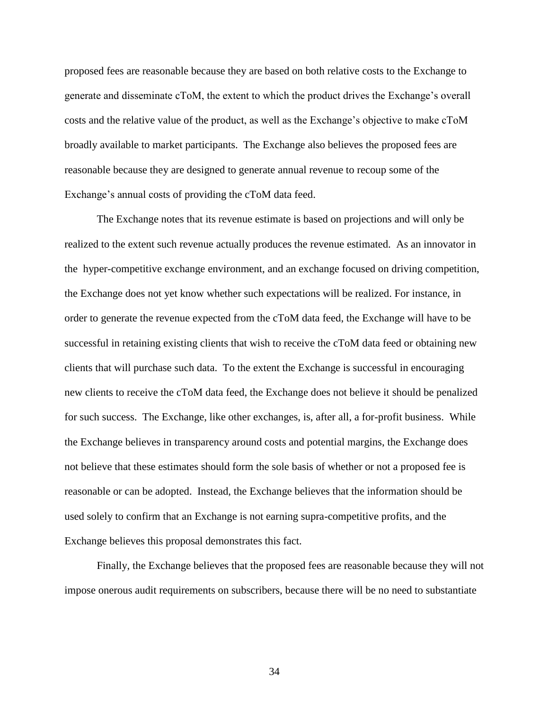proposed fees are reasonable because they are based on both relative costs to the Exchange to generate and disseminate cToM, the extent to which the product drives the Exchange's overall costs and the relative value of the product, as well as the Exchange's objective to make cToM broadly available to market participants. The Exchange also believes the proposed fees are reasonable because they are designed to generate annual revenue to recoup some of the Exchange's annual costs of providing the cToM data feed.

The Exchange notes that its revenue estimate is based on projections and will only be realized to the extent such revenue actually produces the revenue estimated. As an innovator in the hyper-competitive exchange environment, and an exchange focused on driving competition, the Exchange does not yet know whether such expectations will be realized. For instance, in order to generate the revenue expected from the cToM data feed, the Exchange will have to be successful in retaining existing clients that wish to receive the cToM data feed or obtaining new clients that will purchase such data. To the extent the Exchange is successful in encouraging new clients to receive the cToM data feed, the Exchange does not believe it should be penalized for such success. The Exchange, like other exchanges, is, after all, a for-profit business. While the Exchange believes in transparency around costs and potential margins, the Exchange does not believe that these estimates should form the sole basis of whether or not a proposed fee is reasonable or can be adopted. Instead, the Exchange believes that the information should be used solely to confirm that an Exchange is not earning supra-competitive profits, and the Exchange believes this proposal demonstrates this fact.

Finally, the Exchange believes that the proposed fees are reasonable because they will not impose onerous audit requirements on subscribers, because there will be no need to substantiate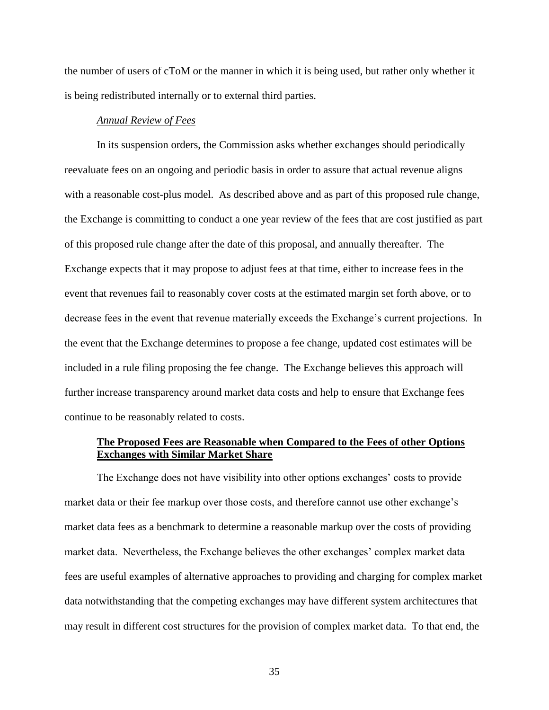the number of users of cToM or the manner in which it is being used, but rather only whether it is being redistributed internally or to external third parties.

## *Annual Review of Fees*

In its suspension orders, the Commission asks whether exchanges should periodically reevaluate fees on an ongoing and periodic basis in order to assure that actual revenue aligns with a reasonable cost-plus model. As described above and as part of this proposed rule change, the Exchange is committing to conduct a one year review of the fees that are cost justified as part of this proposed rule change after the date of this proposal, and annually thereafter. The Exchange expects that it may propose to adjust fees at that time, either to increase fees in the event that revenues fail to reasonably cover costs at the estimated margin set forth above, or to decrease fees in the event that revenue materially exceeds the Exchange's current projections. In the event that the Exchange determines to propose a fee change, updated cost estimates will be included in a rule filing proposing the fee change. The Exchange believes this approach will further increase transparency around market data costs and help to ensure that Exchange fees continue to be reasonably related to costs.

## **The Proposed Fees are Reasonable when Compared to the Fees of other Options Exchanges with Similar Market Share**

The Exchange does not have visibility into other options exchanges' costs to provide market data or their fee markup over those costs, and therefore cannot use other exchange's market data fees as a benchmark to determine a reasonable markup over the costs of providing market data. Nevertheless, the Exchange believes the other exchanges' complex market data fees are useful examples of alternative approaches to providing and charging for complex market data notwithstanding that the competing exchanges may have different system architectures that may result in different cost structures for the provision of complex market data. To that end, the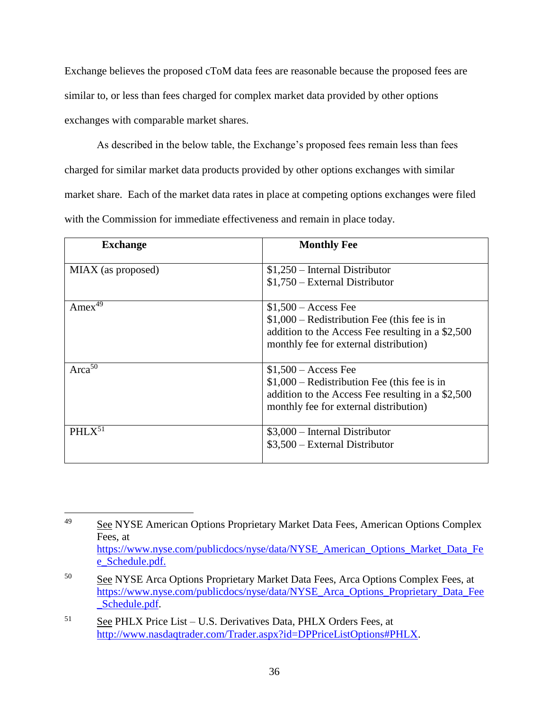Exchange believes the proposed cToM data fees are reasonable because the proposed fees are similar to, or less than fees charged for complex market data provided by other options exchanges with comparable market shares.

As described in the below table, the Exchange's proposed fees remain less than fees charged for similar market data products provided by other options exchanges with similar market share. Each of the market data rates in place at competing options exchanges were filed with the Commission for immediate effectiveness and remain in place today.

| <b>Exchange</b>      | <b>Monthly Fee</b>                                                                                                                                                    |
|----------------------|-----------------------------------------------------------------------------------------------------------------------------------------------------------------------|
| MIAX (as proposed)   | $$1,250$ – Internal Distributor<br>$$1,750$ – External Distributor                                                                                                    |
| Amex $4\overline{9}$ | $$1,500 - Access$ Fee<br>$$1,000$ – Redistribution Fee (this fee is in<br>addition to the Access Fee resulting in a \$2,500<br>monthly fee for external distribution) |
| $Area^{50}$          | $$1,500 - Access$ Fee<br>$$1,000$ – Redistribution Fee (this fee is in<br>addition to the Access Fee resulting in a \$2,500<br>monthly fee for external distribution) |
| $PHLX^{51}$          | $$3,000$ – Internal Distributor<br>$$3,500$ – External Distributor                                                                                                    |

 $\overline{a}$ <sup>49</sup> See NYSE American Options Proprietary Market Data Fees, American Options Complex Fees, at [https://www.nyse.com/publicdocs/nyse/data/NYSE\\_American\\_Options\\_Market\\_Data\\_Fe](https://www.nyse.com/publicdocs/nyse/data/NYSE_American_Options_Market_Data_Fee_Schedule.pdf) [e\\_Schedule.pdf.](https://www.nyse.com/publicdocs/nyse/data/NYSE_American_Options_Market_Data_Fee_Schedule.pdf)

<sup>50</sup> See NYSE Arca Options Proprietary Market Data Fees, Arca Options Complex Fees, at [https://www.nyse.com/publicdocs/nyse/data/NYSE\\_Arca\\_Options\\_Proprietary\\_Data\\_Fee](https://www.nyse.com/publicdocs/nyse/data/NYSE_Arca_Options_Proprietary_Data_Fee_Schedule.pdf) [\\_Schedule.pdf.](https://www.nyse.com/publicdocs/nyse/data/NYSE_Arca_Options_Proprietary_Data_Fee_Schedule.pdf)

<sup>51</sup> See PHLX Price List – U.S. Derivatives Data, PHLX Orders Fees, at [http://www.nasdaqtrader.com/Trader.aspx?id=DPPriceListOptions#PHLX.](http://www.nasdaqtrader.com/Trader.aspx?id=DPPriceListOptions#PHLX)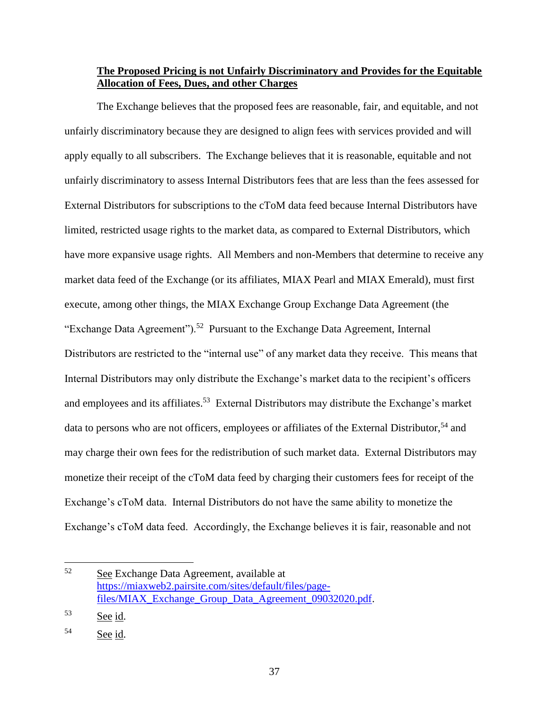# **The Proposed Pricing is not Unfairly Discriminatory and Provides for the Equitable Allocation of Fees, Dues, and other Charges**

The Exchange believes that the proposed fees are reasonable, fair, and equitable, and not unfairly discriminatory because they are designed to align fees with services provided and will apply equally to all subscribers. The Exchange believes that it is reasonable, equitable and not unfairly discriminatory to assess Internal Distributors fees that are less than the fees assessed for External Distributors for subscriptions to the cToM data feed because Internal Distributors have limited, restricted usage rights to the market data, as compared to External Distributors, which have more expansive usage rights. All Members and non-Members that determine to receive any market data feed of the Exchange (or its affiliates, MIAX Pearl and MIAX Emerald), must first execute, among other things, the MIAX Exchange Group Exchange Data Agreement (the "Exchange Data Agreement").<sup>52</sup> Pursuant to the Exchange Data Agreement, Internal Distributors are restricted to the "internal use" of any market data they receive. This means that Internal Distributors may only distribute the Exchange's market data to the recipient's officers and employees and its affiliates.<sup>53</sup> External Distributors may distribute the Exchange's market data to persons who are not officers, employees or affiliates of the External Distributor.<sup>54</sup> and may charge their own fees for the redistribution of such market data. External Distributors may monetize their receipt of the cToM data feed by charging their customers fees for receipt of the Exchange's cToM data. Internal Distributors do not have the same ability to monetize the Exchange's cToM data feed. Accordingly, the Exchange believes it is fair, reasonable and not

 $\overline{a}$ 

<sup>52</sup> See Exchange Data Agreement, available at [https://miaxweb2.pairsite.com/sites/default/files/page](https://miaxweb2.pairsite.com/sites/default/files/page-files/MIAX_Exchange_Group_Data_Agreement_09032020.pdf)[files/MIAX\\_Exchange\\_Group\\_Data\\_Agreement\\_09032020.pdf.](https://miaxweb2.pairsite.com/sites/default/files/page-files/MIAX_Exchange_Group_Data_Agreement_09032020.pdf)

 $53$  See id.

<sup>54</sup> See id.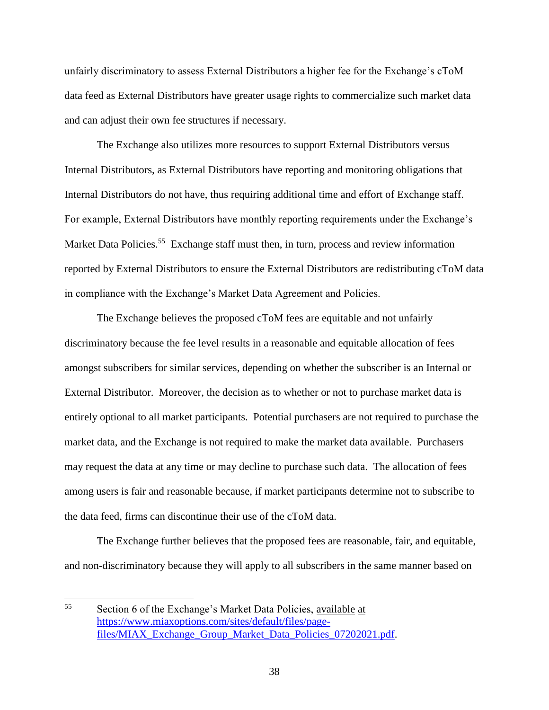unfairly discriminatory to assess External Distributors a higher fee for the Exchange's cToM data feed as External Distributors have greater usage rights to commercialize such market data and can adjust their own fee structures if necessary.

The Exchange also utilizes more resources to support External Distributors versus Internal Distributors, as External Distributors have reporting and monitoring obligations that Internal Distributors do not have, thus requiring additional time and effort of Exchange staff. For example, External Distributors have monthly reporting requirements under the Exchange's Market Data Policies.<sup>55</sup> Exchange staff must then, in turn, process and review information reported by External Distributors to ensure the External Distributors are redistributing cToM data in compliance with the Exchange's Market Data Agreement and Policies.

The Exchange believes the proposed cToM fees are equitable and not unfairly discriminatory because the fee level results in a reasonable and equitable allocation of fees amongst subscribers for similar services, depending on whether the subscriber is an Internal or External Distributor. Moreover, the decision as to whether or not to purchase market data is entirely optional to all market participants. Potential purchasers are not required to purchase the market data, and the Exchange is not required to make the market data available. Purchasers may request the data at any time or may decline to purchase such data. The allocation of fees among users is fair and reasonable because, if market participants determine not to subscribe to the data feed, firms can discontinue their use of the cToM data.

The Exchange further believes that the proposed fees are reasonable, fair, and equitable, and non-discriminatory because they will apply to all subscribers in the same manner based on

<sup>55</sup> Section 6 of the Exchange's Market Data Policies, available at [https://www.miaxoptions.com/sites/default/files/page](https://www.miaxoptions.com/sites/default/files/page-files/MIAX_Exchange_Group_Market_Data_Policies_07202021.pdf)[files/MIAX\\_Exchange\\_Group\\_Market\\_Data\\_Policies\\_07202021.pdf.](https://www.miaxoptions.com/sites/default/files/page-files/MIAX_Exchange_Group_Market_Data_Policies_07202021.pdf)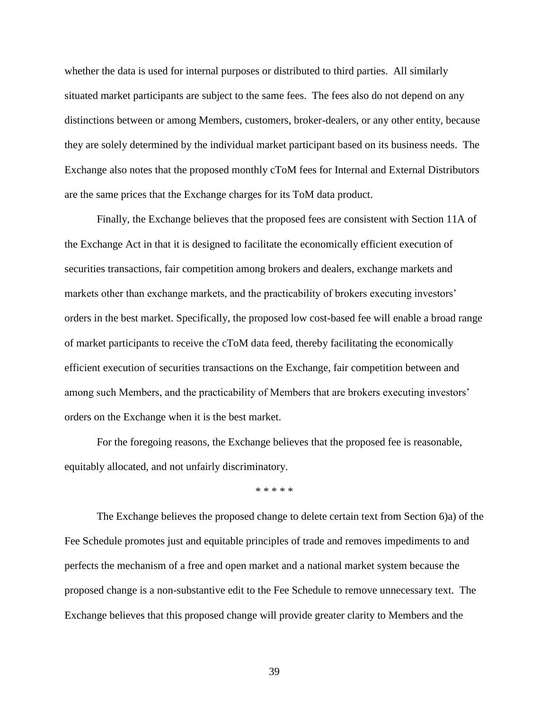whether the data is used for internal purposes or distributed to third parties. All similarly situated market participants are subject to the same fees. The fees also do not depend on any distinctions between or among Members, customers, broker-dealers, or any other entity, because they are solely determined by the individual market participant based on its business needs. The Exchange also notes that the proposed monthly cToM fees for Internal and External Distributors are the same prices that the Exchange charges for its ToM data product.

Finally, the Exchange believes that the proposed fees are consistent with Section 11A of the Exchange Act in that it is designed to facilitate the economically efficient execution of securities transactions, fair competition among brokers and dealers, exchange markets and markets other than exchange markets, and the practicability of brokers executing investors' orders in the best market. Specifically, the proposed low cost-based fee will enable a broad range of market participants to receive the cToM data feed, thereby facilitating the economically efficient execution of securities transactions on the Exchange, fair competition between and among such Members, and the practicability of Members that are brokers executing investors' orders on the Exchange when it is the best market.

For the foregoing reasons, the Exchange believes that the proposed fee is reasonable, equitably allocated, and not unfairly discriminatory.

\* \* \* \* \*

The Exchange believes the proposed change to delete certain text from Section 6)a) of the Fee Schedule promotes just and equitable principles of trade and removes impediments to and perfects the mechanism of a free and open market and a national market system because the proposed change is a non-substantive edit to the Fee Schedule to remove unnecessary text. The Exchange believes that this proposed change will provide greater clarity to Members and the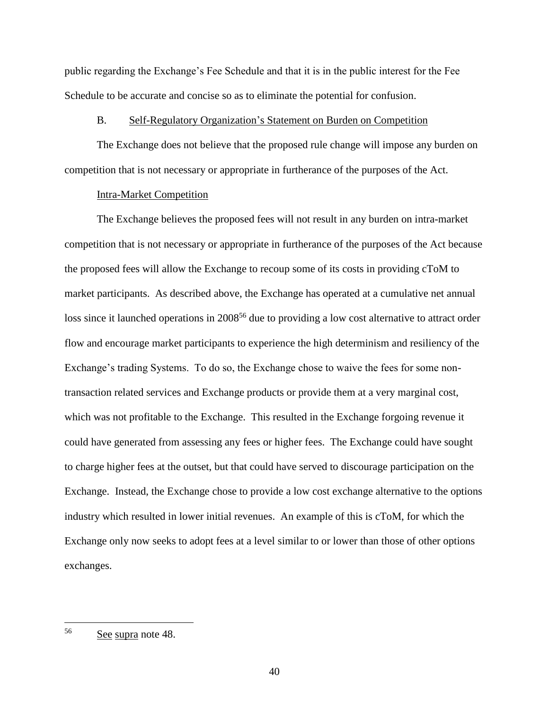public regarding the Exchange's Fee Schedule and that it is in the public interest for the Fee Schedule to be accurate and concise so as to eliminate the potential for confusion.

### B. Self-Regulatory Organization's Statement on Burden on Competition

The Exchange does not believe that the proposed rule change will impose any burden on competition that is not necessary or appropriate in furtherance of the purposes of the Act.

### Intra-Market Competition

The Exchange believes the proposed fees will not result in any burden on intra-market competition that is not necessary or appropriate in furtherance of the purposes of the Act because the proposed fees will allow the Exchange to recoup some of its costs in providing cToM to market participants. As described above, the Exchange has operated at a cumulative net annual loss since it launched operations in 2008<sup>56</sup> due to providing a low cost alternative to attract order flow and encourage market participants to experience the high determinism and resiliency of the Exchange's trading Systems. To do so, the Exchange chose to waive the fees for some nontransaction related services and Exchange products or provide them at a very marginal cost, which was not profitable to the Exchange. This resulted in the Exchange forgoing revenue it could have generated from assessing any fees or higher fees. The Exchange could have sought to charge higher fees at the outset, but that could have served to discourage participation on the Exchange. Instead, the Exchange chose to provide a low cost exchange alternative to the options industry which resulted in lower initial revenues. An example of this is cToM, for which the Exchange only now seeks to adopt fees at a level similar to or lower than those of other options exchanges.

<sup>56</sup> See supra note [48.](#page-32-0)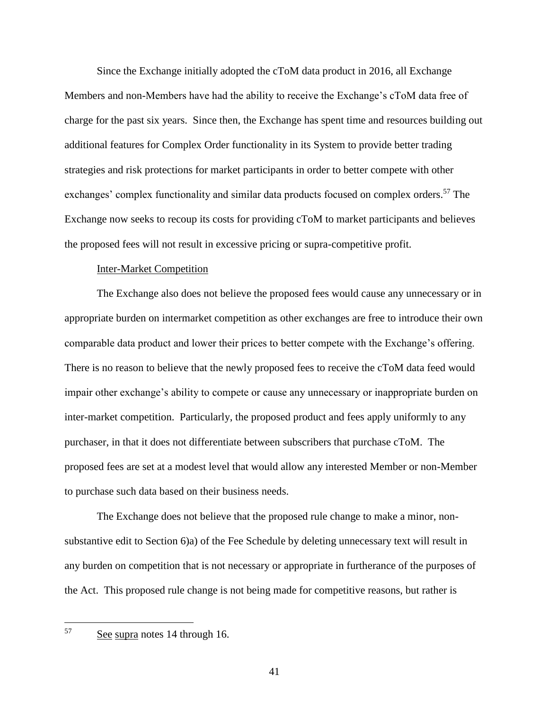Since the Exchange initially adopted the cToM data product in 2016, all Exchange Members and non-Members have had the ability to receive the Exchange's cToM data free of charge for the past six years. Since then, the Exchange has spent time and resources building out additional features for Complex Order functionality in its System to provide better trading strategies and risk protections for market participants in order to better compete with other exchanges' complex functionality and similar data products focused on complex orders.<sup>57</sup> The Exchange now seeks to recoup its costs for providing cToM to market participants and believes the proposed fees will not result in excessive pricing or supra-competitive profit.

#### Inter-Market Competition

The Exchange also does not believe the proposed fees would cause any unnecessary or in appropriate burden on intermarket competition as other exchanges are free to introduce their own comparable data product and lower their prices to better compete with the Exchange's offering. There is no reason to believe that the newly proposed fees to receive the cToM data feed would impair other exchange's ability to compete or cause any unnecessary or inappropriate burden on inter-market competition. Particularly, the proposed product and fees apply uniformly to any purchaser, in that it does not differentiate between subscribers that purchase cToM. The proposed fees are set at a modest level that would allow any interested Member or non-Member to purchase such data based on their business needs.

The Exchange does not believe that the proposed rule change to make a minor, nonsubstantive edit to Section 6)a) of the Fee Schedule by deleting unnecessary text will result in any burden on competition that is not necessary or appropriate in furtherance of the purposes of the Act. This proposed rule change is not being made for competitive reasons, but rather is

See supra notes [14](#page-4-0) through [16.](#page-4-1)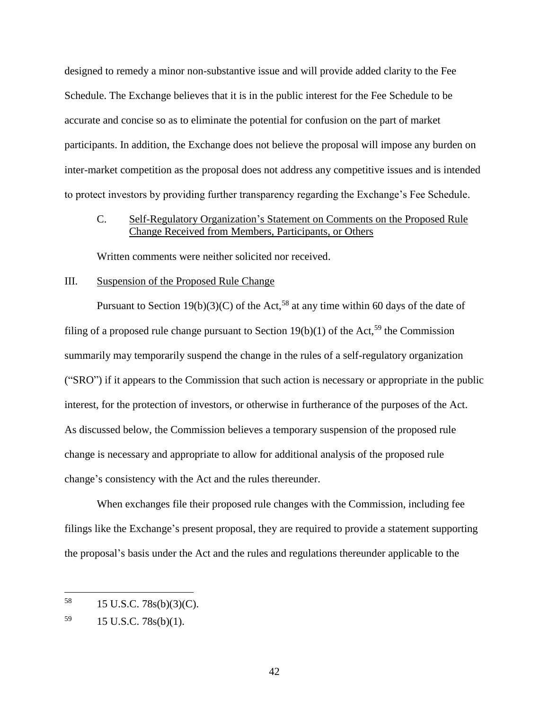designed to remedy a minor non-substantive issue and will provide added clarity to the Fee Schedule. The Exchange believes that it is in the public interest for the Fee Schedule to be accurate and concise so as to eliminate the potential for confusion on the part of market participants. In addition, the Exchange does not believe the proposal will impose any burden on inter-market competition as the proposal does not address any competitive issues and is intended to protect investors by providing further transparency regarding the Exchange's Fee Schedule.

# C. Self-Regulatory Organization's Statement on Comments on the Proposed Rule Change Received from Members, Participants, or Others

Written comments were neither solicited nor received.

## III. Suspension of the Proposed Rule Change

Pursuant to Section 19(b)(3)(C) of the Act,<sup>58</sup> at any time within 60 days of the date of filing of a proposed rule change pursuant to Section 19(b)(1) of the Act,<sup>59</sup> the Commission summarily may temporarily suspend the change in the rules of a self-regulatory organization ("SRO") if it appears to the Commission that such action is necessary or appropriate in the public interest, for the protection of investors, or otherwise in furtherance of the purposes of the Act. As discussed below, the Commission believes a temporary suspension of the proposed rule change is necessary and appropriate to allow for additional analysis of the proposed rule change's consistency with the Act and the rules thereunder.

When exchanges file their proposed rule changes with the Commission, including fee filings like the Exchange's present proposal, they are required to provide a statement supporting the proposal's basis under the Act and the rules and regulations thereunder applicable to the

<sup>58</sup> <sup>58</sup> 15 U.S.C. 78s(b)(3)(C).

 $^{59}$  15 U.S.C. 78s(b)(1).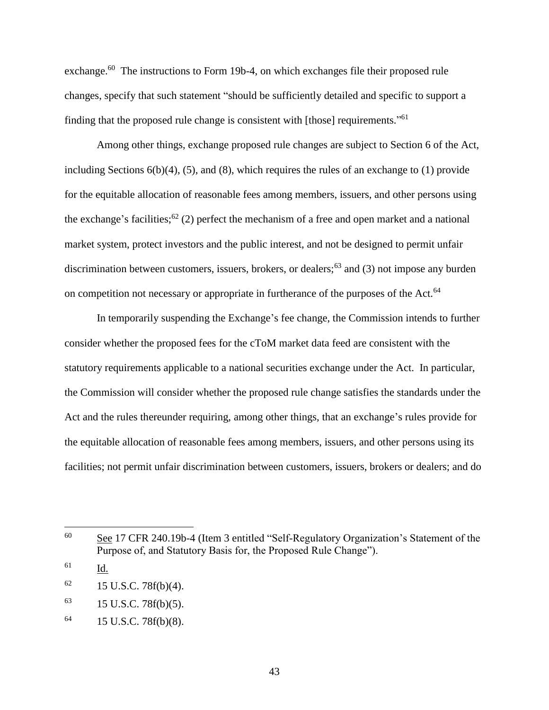exchange.<sup>60</sup> The instructions to Form 19b-4, on which exchanges file their proposed rule changes, specify that such statement "should be sufficiently detailed and specific to support a finding that the proposed rule change is consistent with [those] requirements."<sup>61</sup>

Among other things, exchange proposed rule changes are subject to Section 6 of the Act, including Sections 6(b)(4), (5), and (8), which requires the rules of an exchange to (1) provide for the equitable allocation of reasonable fees among members, issuers, and other persons using the exchange's facilities;<sup>62</sup> (2) perfect the mechanism of a free and open market and a national market system, protect investors and the public interest, and not be designed to permit unfair discrimination between customers, issuers, brokers, or dealers;<sup>63</sup> and (3) not impose any burden on competition not necessary or appropriate in furtherance of the purposes of the Act.<sup>64</sup>

In temporarily suspending the Exchange's fee change, the Commission intends to further consider whether the proposed fees for the cToM market data feed are consistent with the statutory requirements applicable to a national securities exchange under the Act. In particular, the Commission will consider whether the proposed rule change satisfies the standards under the Act and the rules thereunder requiring, among other things, that an exchange's rules provide for the equitable allocation of reasonable fees among members, issuers, and other persons using its facilities; not permit unfair discrimination between customers, issuers, brokers or dealers; and do

 $\overline{a}$ 

<sup>60</sup> See 17 CFR 240.19b-4 (Item 3 entitled "Self-Regulatory Organization's Statement of the Purpose of, and Statutory Basis for, the Proposed Rule Change").

<sup>61</sup> Id.

 $62$  15 U.S.C. 78f(b)(4).

 $^{63}$  15 U.S.C. 78f(b)(5).

 $^{64}$  15 U.S.C. 78f(b)(8).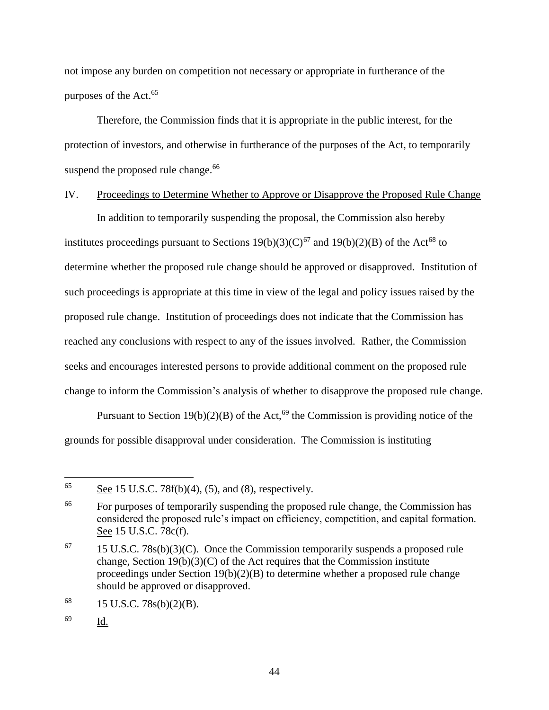not impose any burden on competition not necessary or appropriate in furtherance of the purposes of the Act.<sup>65</sup>

Therefore, the Commission finds that it is appropriate in the public interest, for the protection of investors, and otherwise in furtherance of the purposes of the Act, to temporarily suspend the proposed rule change. $66$ 

## IV. Proceedings to Determine Whether to Approve or Disapprove the Proposed Rule Change

In addition to temporarily suspending the proposal, the Commission also hereby institutes proceedings pursuant to Sections  $19(b)(3)(C)^{67}$  and  $19(b)(2)(B)$  of the Act<sup>68</sup> to determine whether the proposed rule change should be approved or disapproved. Institution of such proceedings is appropriate at this time in view of the legal and policy issues raised by the proposed rule change. Institution of proceedings does not indicate that the Commission has reached any conclusions with respect to any of the issues involved. Rather, the Commission seeks and encourages interested persons to provide additional comment on the proposed rule change to inform the Commission's analysis of whether to disapprove the proposed rule change.

Pursuant to Section 19(b)(2)(B) of the Act, <sup>69</sup> the Commission is providing notice of the grounds for possible disapproval under consideration. The Commission is instituting

<sup>69</sup> Id.

<sup>65</sup> See 15 U.S.C.  $78f(b)(4)$ ,  $(5)$ , and  $(8)$ , respectively.

<sup>&</sup>lt;sup>66</sup> For purposes of temporarily suspending the proposed rule change, the Commission has considered the proposed rule's impact on efficiency, competition, and capital formation. See 15 U.S.C. 78c(f).

 $67$  15 U.S.C. 78s(b)(3)(C). Once the Commission temporarily suspends a proposed rule change, Section  $19(b)(3)(C)$  of the Act requires that the Commission institute proceedings under Section 19(b)(2)(B) to determine whether a proposed rule change should be approved or disapproved.

 $^{68}$  15 U.S.C. 78s(b)(2)(B).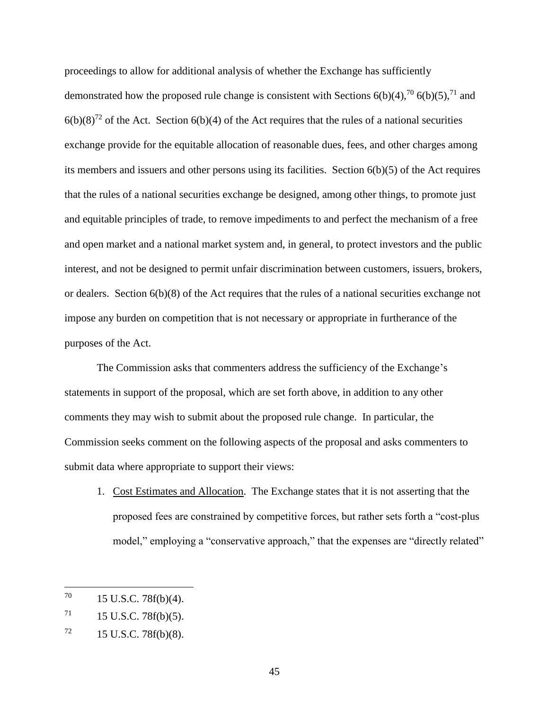proceedings to allow for additional analysis of whether the Exchange has sufficiently demonstrated how the proposed rule change is consistent with Sections  $6(b)(4)$ ,  $70$   $6(b)(5)$ ,  $71$  and  $6(b)(8)^{72}$  of the Act. Section  $6(b)(4)$  of the Act requires that the rules of a national securities exchange provide for the equitable allocation of reasonable dues, fees, and other charges among its members and issuers and other persons using its facilities. Section 6(b)(5) of the Act requires that the rules of a national securities exchange be designed, among other things, to promote just and equitable principles of trade, to remove impediments to and perfect the mechanism of a free and open market and a national market system and, in general, to protect investors and the public interest, and not be designed to permit unfair discrimination between customers, issuers, brokers, or dealers. Section 6(b)(8) of the Act requires that the rules of a national securities exchange not impose any burden on competition that is not necessary or appropriate in furtherance of the purposes of the Act.

The Commission asks that commenters address the sufficiency of the Exchange's statements in support of the proposal, which are set forth above, in addition to any other comments they may wish to submit about the proposed rule change. In particular, the Commission seeks comment on the following aspects of the proposal and asks commenters to submit data where appropriate to support their views:

1. Cost Estimates and Allocation. The Exchange states that it is not asserting that the proposed fees are constrained by competitive forces, but rather sets forth a "cost-plus model," employing a "conservative approach," that the expenses are "directly related"

<sup>70</sup> 15 U.S.C. 78f(b)(4).

 $71$  15 U.S.C. 78f(b)(5).

 $^{72}$  15 U.S.C. 78f(b)(8).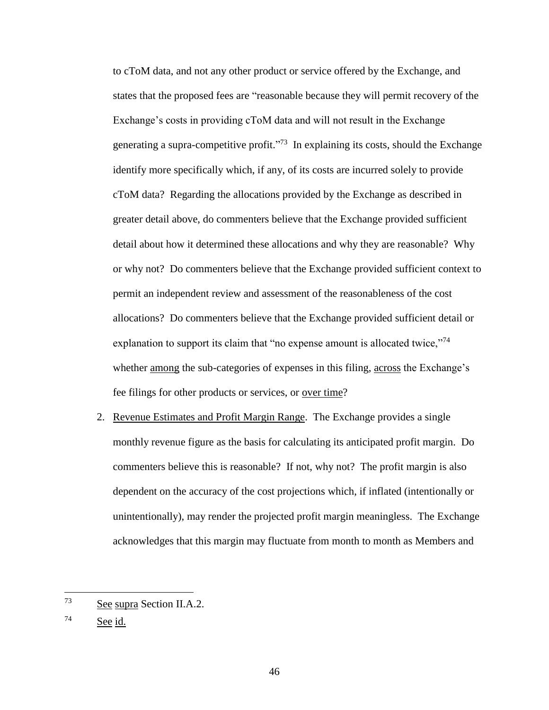to cToM data, and not any other product or service offered by the Exchange, and states that the proposed fees are "reasonable because they will permit recovery of the Exchange's costs in providing cToM data and will not result in the Exchange generating a supra-competitive profit."<sup>73</sup> In explaining its costs, should the Exchange identify more specifically which, if any, of its costs are incurred solely to provide cToM data? Regarding the allocations provided by the Exchange as described in greater detail above, do commenters believe that the Exchange provided sufficient detail about how it determined these allocations and why they are reasonable? Why or why not? Do commenters believe that the Exchange provided sufficient context to permit an independent review and assessment of the reasonableness of the cost allocations? Do commenters believe that the Exchange provided sufficient detail or explanation to support its claim that "no expense amount is allocated twice,"<sup>74</sup> whether among the sub-categories of expenses in this filing, across the Exchange's fee filings for other products or services, or <u>over time</u>?

2. Revenue Estimates and Profit Margin Range. The Exchange provides a single monthly revenue figure as the basis for calculating its anticipated profit margin. Do commenters believe this is reasonable? If not, why not? The profit margin is also dependent on the accuracy of the cost projections which, if inflated (intentionally or unintentionally), may render the projected profit margin meaningless. The Exchange acknowledges that this margin may fluctuate from month to month as Members and

<sup>74</sup> See id.

<sup>73</sup> See supra Section II.A.2.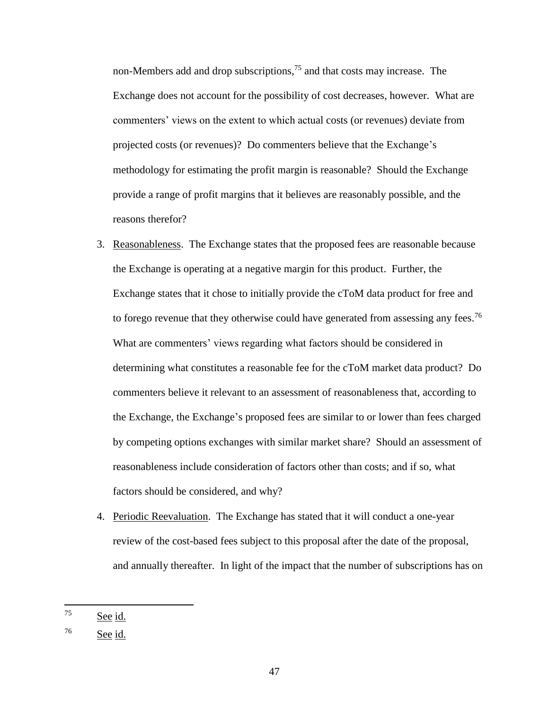non-Members add and drop subscriptions,<sup>75</sup> and that costs may increase. The Exchange does not account for the possibility of cost decreases, however. What are commenters' views on the extent to which actual costs (or revenues) deviate from projected costs (or revenues)? Do commenters believe that the Exchange's methodology for estimating the profit margin is reasonable? Should the Exchange provide a range of profit margins that it believes are reasonably possible, and the reasons therefor?

- 3. Reasonableness. The Exchange states that the proposed fees are reasonable because the Exchange is operating at a negative margin for this product. Further, the Exchange states that it chose to initially provide the cToM data product for free and to forego revenue that they otherwise could have generated from assessing any fees.<sup>76</sup> What are commenters' views regarding what factors should be considered in determining what constitutes a reasonable fee for the cToM market data product? Do commenters believe it relevant to an assessment of reasonableness that, according to the Exchange, the Exchange's proposed fees are similar to or lower than fees charged by competing options exchanges with similar market share? Should an assessment of reasonableness include consideration of factors other than costs; and if so, what factors should be considered, and why?
- 4. Periodic Reevaluation. The Exchange has stated that it will conduct a one-year review of the cost-based fees subject to this proposal after the date of the proposal, and annually thereafter. In light of the impact that the number of subscriptions has on

<sup>75</sup> See id.

<sup>76</sup> See id.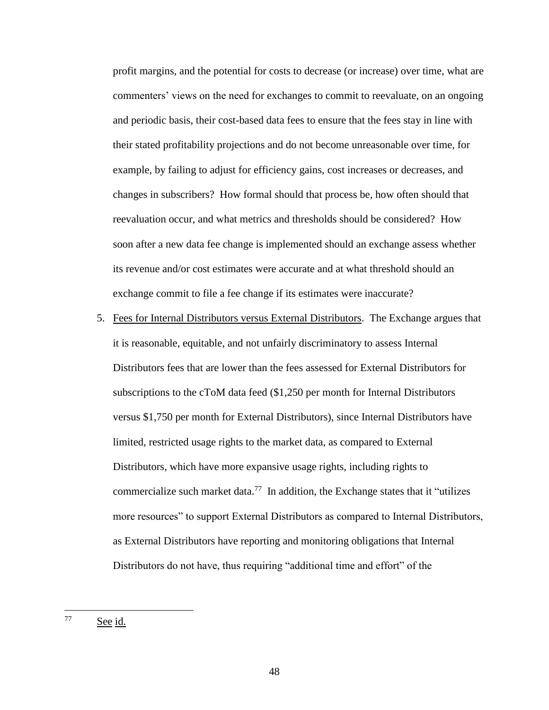profit margins, and the potential for costs to decrease (or increase) over time, what are commenters' views on the need for exchanges to commit to reevaluate, on an ongoing and periodic basis, their cost-based data fees to ensure that the fees stay in line with their stated profitability projections and do not become unreasonable over time, for example, by failing to adjust for efficiency gains, cost increases or decreases, and changes in subscribers? How formal should that process be, how often should that reevaluation occur, and what metrics and thresholds should be considered? How soon after a new data fee change is implemented should an exchange assess whether its revenue and/or cost estimates were accurate and at what threshold should an exchange commit to file a fee change if its estimates were inaccurate?

5. Fees for Internal Distributors versus External Distributors. The Exchange argues that it is reasonable, equitable, and not unfairly discriminatory to assess Internal Distributors fees that are lower than the fees assessed for External Distributors for subscriptions to the cToM data feed (\$1,250 per month for Internal Distributors versus \$1,750 per month for External Distributors), since Internal Distributors have limited, restricted usage rights to the market data, as compared to External Distributors, which have more expansive usage rights, including rights to commercialize such market data.<sup>77</sup> In addition, the Exchange states that it "utilizes" more resources" to support External Distributors as compared to Internal Distributors, as External Distributors have reporting and monitoring obligations that Internal Distributors do not have, thus requiring "additional time and effort" of the

<sup>77</sup> See id.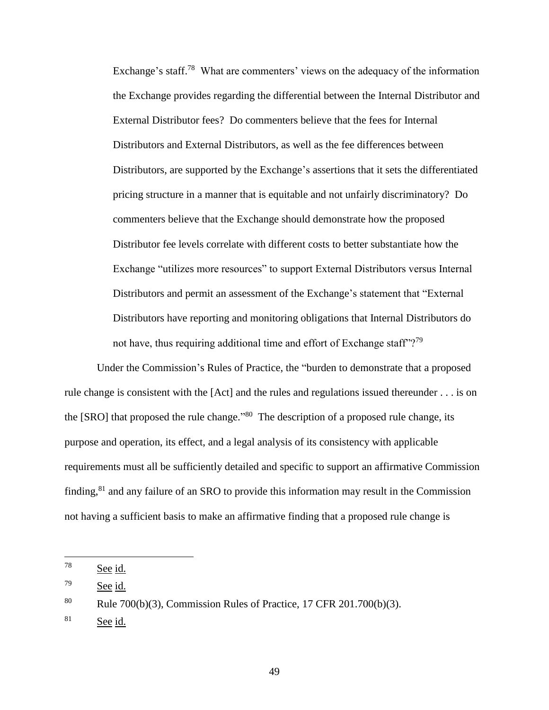Exchange's staff.<sup>78</sup> What are commenters' views on the adequacy of the information the Exchange provides regarding the differential between the Internal Distributor and External Distributor fees? Do commenters believe that the fees for Internal Distributors and External Distributors, as well as the fee differences between Distributors, are supported by the Exchange's assertions that it sets the differentiated pricing structure in a manner that is equitable and not unfairly discriminatory? Do commenters believe that the Exchange should demonstrate how the proposed Distributor fee levels correlate with different costs to better substantiate how the Exchange "utilizes more resources" to support External Distributors versus Internal Distributors and permit an assessment of the Exchange's statement that "External Distributors have reporting and monitoring obligations that Internal Distributors do not have, thus requiring additional time and effort of Exchange staff"?<sup>79</sup>

Under the Commission's Rules of Practice, the "burden to demonstrate that a proposed rule change is consistent with the [Act] and the rules and regulations issued thereunder . . . is on the  $[SRO]$  that proposed the rule change.<sup> $\cdot$ 80</sup> The description of a proposed rule change, its purpose and operation, its effect, and a legal analysis of its consistency with applicable requirements must all be sufficiently detailed and specific to support an affirmative Commission finding,<sup>81</sup> and any failure of an SRO to provide this information may result in the Commission not having a sufficient basis to make an affirmative finding that a proposed rule change is

 $\overline{a}$ 

<sup>78</sup> See id.

<sup>79</sup> See id.

<sup>80</sup> Rule 700(b)(3), Commission Rules of Practice, 17 CFR 201.700(b)(3).

 $81$  See id.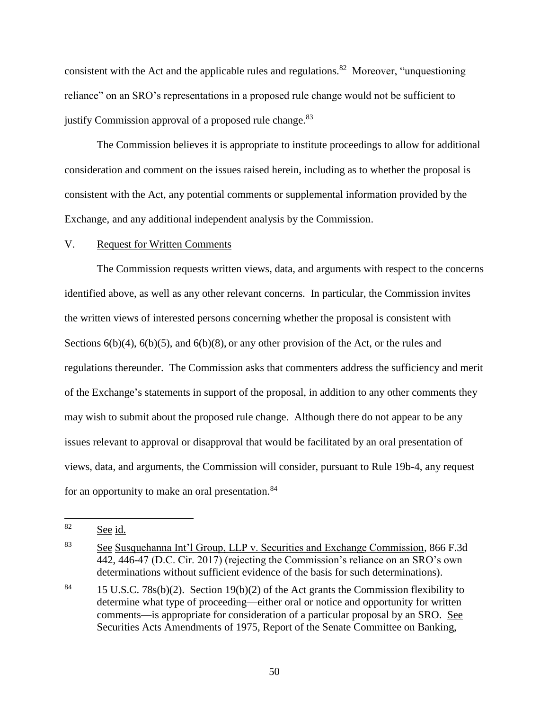consistent with the Act and the applicable rules and regulations.<sup>82</sup> Moreover, "unquestioning reliance" on an SRO's representations in a proposed rule change would not be sufficient to justify Commission approval of a proposed rule change.<sup>83</sup>

The Commission believes it is appropriate to institute proceedings to allow for additional consideration and comment on the issues raised herein, including as to whether the proposal is consistent with the Act, any potential comments or supplemental information provided by the Exchange, and any additional independent analysis by the Commission.

### V. Request for Written Comments

The Commission requests written views, data, and arguments with respect to the concerns identified above, as well as any other relevant concerns. In particular, the Commission invites the written views of interested persons concerning whether the proposal is consistent with Sections  $6(b)(4)$ ,  $6(b)(5)$ , and  $6(b)(8)$ , or any other provision of the Act, or the rules and regulations thereunder. The Commission asks that commenters address the sufficiency and merit of the Exchange's statements in support of the proposal, in addition to any other comments they may wish to submit about the proposed rule change. Although there do not appear to be any issues relevant to approval or disapproval that would be facilitated by an oral presentation of views, data, and arguments, the Commission will consider, pursuant to Rule 19b-4, any request for an opportunity to make an oral presentation. $84$ 

<sup>82</sup> See id.

<sup>83</sup> See Susquehanna Int'l Group, LLP v. Securities and Exchange Commission, 866 F.3d 442, 446-47 (D.C. Cir. 2017) (rejecting the Commission's reliance on an SRO's own determinations without sufficient evidence of the basis for such determinations).

<sup>&</sup>lt;sup>84</sup> 15 U.S.C. 78s(b)(2). Section 19(b)(2) of the Act grants the Commission flexibility to determine what type of proceeding—either oral or notice and opportunity for written comments—is appropriate for consideration of a particular proposal by an SRO. See Securities Acts Amendments of 1975, Report of the Senate Committee on Banking,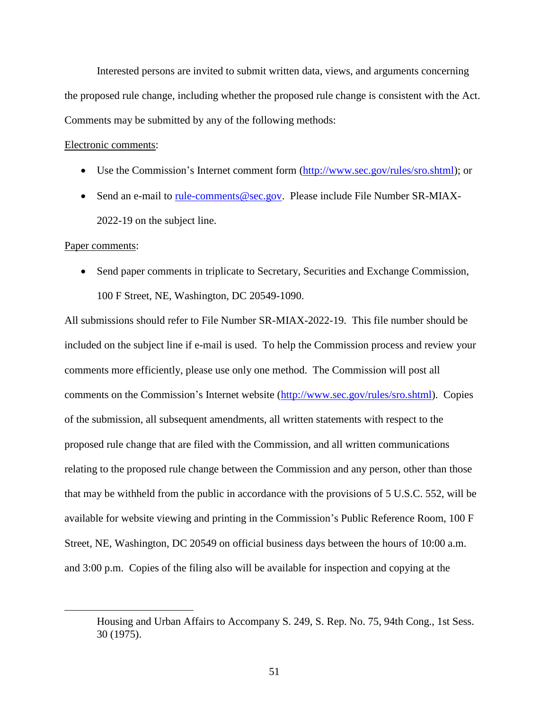Interested persons are invited to submit written data, views, and arguments concerning the proposed rule change, including whether the proposed rule change is consistent with the Act. Comments may be submitted by any of the following methods:

#### Electronic comments:

- Use the Commission's Internet comment form [\(http://www.sec.gov/rules/sro.shtml\)](http://www.sec.gov/rules/sro.shtml); or
- Send an e-mail to [rule-comments@sec.gov.](mailto:rule-comments@sec.gov) Please include File Number SR-MIAX-2022-19 on the subject line.

#### Paper comments:

 $\overline{a}$ 

• Send paper comments in triplicate to Secretary, Securities and Exchange Commission, 100 F Street, NE, Washington, DC 20549-1090.

All submissions should refer to File Number SR-MIAX-2022-19. This file number should be included on the subject line if e-mail is used. To help the Commission process and review your comments more efficiently, please use only one method. The Commission will post all comments on the Commission's Internet website (http://www.sec.gov/rules/sro.shtml). Copies of the submission, all subsequent amendments, all written statements with respect to the proposed rule change that are filed with the Commission, and all written communications relating to the proposed rule change between the Commission and any person, other than those that may be withheld from the public in accordance with the provisions of 5 U.S.C. 552, will be available for website viewing and printing in the Commission's Public Reference Room, 100 F Street, NE, Washington, DC 20549 on official business days between the hours of 10:00 a.m. and 3:00 p.m. Copies of the filing also will be available for inspection and copying at the

Housing and Urban Affairs to Accompany S. 249, S. Rep. No. 75, 94th Cong., 1st Sess. 30 (1975).